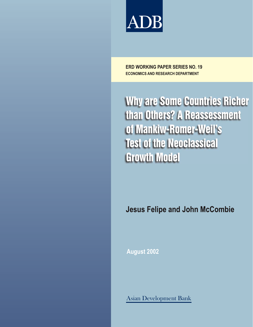

**ECONOMICS AND RESEARCH DEPARTMENT ERD WORKING PAPER SERIES NO. 19**

Why are Some Countries Richer than Others? A Reassessment of Mankiw-Romer-Weil's Test of the Neoclassical Growth Model

**Jesus Felipe and John McCombie**

**August 2002**

Asian Development Bank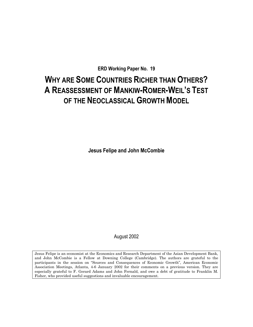**ERD Working Paper No. 19** 

# **WHY ARE SOME COUNTRIES RICHER THAN OTHERS? A REASSESSMENT OF MANKIW-ROMER-WEIL'S TEST OF THE NEOCLASSICAL GROWTH MODEL**

**Jesus Felipe and John McCombie** 

August 2002

Jesus Felipe is an economist at the Economics and Research Department of the Asian Development Bank, and John McCombie is a Fellow at Downing College (Cambridge). The authors are grateful to the participants in the session on "Sources and Consequences of Economic Growth", American Economic Association Meetings, Atlanta, 4-6 January 2002 for their comments on a previous version. They are especially grateful to F. Gerard Adams and John Fernald, and owe a debt of gratitude to Franklin M. Fisher, who provided useful suggestions and invaluable encouragement.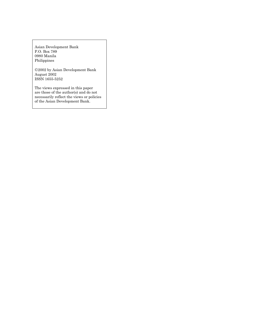Asian Development Bank P.O. Box 789 0980 Manila Philippines

2002 by Asian Development Bank August 2002 ISSN 1655-5252

The views expressed in this paper are those of the author(s) and do not necessarily reflect the views or policies of the Asian Development Bank.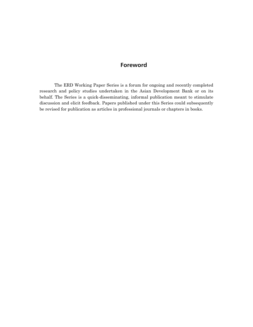# **Foreword**

The ERD Working Paper Series is a forum for ongoing and recently completed research and policy studies undertaken in the Asian Development Bank or on its behalf. The Series is a quick-disseminating, informal publication meant to stimulate discussion and elicit feedback. Papers published under this Series could subsequently be revised for publication as articles in professional journals or chapters in books.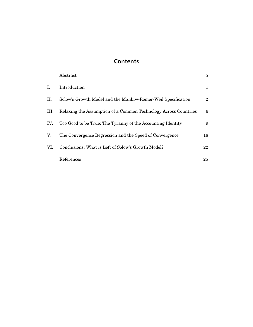# **Contents**

|     | Abstract                                                        | 5              |
|-----|-----------------------------------------------------------------|----------------|
| L.  | Introduction                                                    | 1              |
| П.  | Solow's Growth Model and the Mankiw-Romer-Weil Specification    | $\overline{2}$ |
| Ш.  | Relaxing the Assumption of a Common Technology Across Countries | 6              |
| IV. | Too Good to be True: The Tyranny of the Accounting Identity     | 9              |
| V.  | The Convergence Regression and the Speed of Convergence         | 18             |
| VI. | Conclusions: What is Left of Solow's Growth Model?              | 22             |
|     | References                                                      | 25             |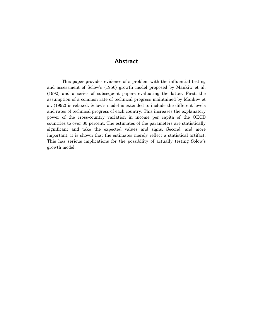# **Abstract**

<span id="page-5-0"></span>This paper provides evidence of a problem with the influential testing and assessment of Solow's (1956) growth model proposed by Mankiw et al. (1992) and a series of subsequent papers evaluating the latter. First, the assumption of a common rate of technical progress maintained by Mankiw et al. (1992) is relaxed. Solow's model is extended to include the different levels and rates of technical progress of each country. This increases the explanatory power of the cross-country variation in income per capita of the OECD countries to over 80 percent. The estimates of the parameters are statistically significant and take the expected values and signs. Second, and more important, it is shown that the estimates merely reflect a statistical artifact. This has serious implications for the possibility of actually testing Solow's growth model.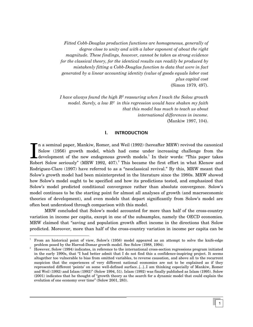<span id="page-6-0"></span>*Fitted Cobb-Douglas production functions are homogeneous, generally of degree close to unity and with a labor exponent of about the right magnitude. These findings, however, cannot be taken as strong evidence for the classical theory, for the identical results can readily be produced by mistakenly fitting a Cobb-Douglas function to data that were in fact generated by a linear accounting identity (value of goods equals labor cost plus capital cost*  (Simon 1979, 497).

*I have always found the high R2 reassuring when I teach the Solow growth model. Surely, a low R2 in this regression would have shaken my faith that this model has much to teach us about international differences in income.*  (Mankiw 1997, 104).

### **I. INTRODUCTION**

In a seminal paper, Mankiw, Romer, and Weil (199[2](#page-6-2)) (hereafter MRW) revived the canonical Solow (1956) growth model, which had come under increasing challenge from the development of the new endogenous growth models.<sup>1</sup> In n a seminal paper, Mankiw, Romer, and Weil (1992) (hereafter MRW) revived the canonical Solow (1956) growth model, which had come under increasing challenge from the development of the new endogenous growth mode[ls.](#page-6-1)<sup>1</sup> In their words: "This paper takes Rodriguez-Clare (1997) have referred to as a "neoclassical revival." By this, MRW meant that Solow's growth model had been misinterpreted in the literature since the 1980s. MRW showed how Solow's model ought to be specified and how its predictions tested, and emphasized that Solow's model predicted conditional convergence rather than absolute convergence. Solow's model continues to be the starting point for almost all analyses of growth (and macroeconomic theories of development), and even models that depart significantly from Solow's model are often best understood through comparison with this model.

MRW concluded that Solow's model accounted for more than half of the cross-country variation in income per capita, except in one of the subsamples, namely the OECD economies. MRW claimed that "saving and population growth affect income in the directions that Solow predicted. Moreover, more than half of the cross-country variation in income per capita can be

<span id="page-6-1"></span><sup>|&</sup>lt;br>1 From an historical point of view, Solow's (1956) model appeared as an attempt to solve the knife-edge problem posed by the Harrod-Domar growth model. See Solow (1988, 1994). 2

<span id="page-6-2"></span>However, Solow (1994) indicates, in reference to the international cross-section regressions program initiated in the early 1990s, that "I had better admit that I do not find this a confidence-inspiring project. It seems altogether too vulnerable to bias from omitted variables, to reverse causation, and above all to the recurrent suspicion that the experiences of very different national economies are not to be explained as if they represented different 'points' on some well-defined surface…[…]…I am thinking especially of Mankiw, Romer and Weil (1992) and Islam (1992)" (Solow 1994, 51). Islam (1992) was finally published as Islam (1995). Solow (2001) indicates that he thought of "growth theory as the search for a dynamic model that could explain the evolution of one economy over time" (Solow 2001, 283).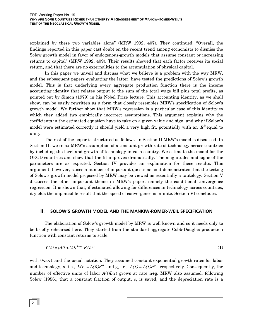<span id="page-7-0"></span>explained by these two variables alone" (MRW 1992, 407). They continued: "Overall, the findings reported in this paper cast doubt on the recent trend among economists to dismiss the Solow growth model in favor of endogenous-growth models that assume constant or increasing returns to capital" (MRW 1992, 409). Their results showed that each factor receives its social return, and that there are no externalities to the accumulation of physical capital.

In this paper we unveil and discuss what we believe is a problem with the way MRW, and the subsequent papers evaluating the latter, have tested the predictions of Solow's growth model. This is that underlying every aggregate production function there is the income accounting identity that relates output to the sum of the total wage bill plus total profits, as pointed out by Simon (1979) in his Nobel Prize lecture. This accounting identity, as we shall show, can be easily rewritten as a form that closely resembles MRW's specification of Solow's growth model. We further show that MRW's regression is a particular case of this identity to which they added two empirically incorrect assumptions. This argument explains why the coefficients in the estimated equation have to take on a given value and sign, and why if Solow's model were estimated correctly it should yield a very high fit, potentially with an  $R^2$  equal to unity.

The rest of the paper is structured as follows. In Section II MRW's model is discussed. In Section III we relax MRW's assumption of a constant growth rate of technology across countries by including the level and growth of technology in each country. We estimate the model for the OECD countries and show that the fit improves dramatically. The magnitudes and signs of the parameters are as expected. Section IV provides an explanation for these results. This argument, however, raises a number of important questions as it demonstrates that the testing of Solow's growth model proposed by MRW may be viewed as essentially a tautology. Section V discusses the other important theme in MRW's paper, namely the conditional convergence regression. It is shown that, if estimated allowing for differences in technology across countries, it yields the implausible result that the speed of convergence is infinite. Section VI concludes.

# **II. SOLOW'S GROWTH MODEL AND THE MANKIW-ROMER-WEIL SPECIFICATION**

The elaboration of Solow's growth model by MRW is well known and so it needs only to be briefly rehearsed here. They started from the standard aggregate Cobb-Douglas production function with constant returns to scale:

$$
Y(t) = [A(t)L(t)]^{1-a} K(t)^a
$$
 (1)

with  $0 < a < 1$  and the usual notation. They assumed constant exponential growth rates for labor and technology, *n*, i.e.,  $L(t) = L(0)e^{nt}$  and g, i.e.,  $A(t) = A(t)e^{gt}$ , respectively. Consequently, the number of effective units of labor  $A(t)L(t)$  grows at rate n+g. MRW also assumed, following Solow (1956), that a constant fraction of output, *s*, is saved, and the depreciation rate is a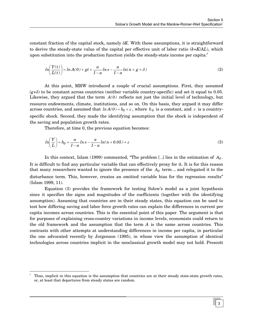constant fraction of the capital stock, namely δ*K*. With these assumptions, it is straightforward to derive the steady-state value of the capital per effective unit of labor ratio (*k*=*K*/*AL*), which upon substitution into the production function yields the steady-state income per capita: $3$ 

$$
ln\left(\frac{Y(t)}{L(t)}\right) = ln A(0) + gt + \frac{a}{1-a}ln s - \frac{a}{1-a}ln(n+g+\delta)
$$
\n(2)

At this point, MRW introduced a couple of crucial assumptions. First, they assumed  $(g+\delta)$  to be constant across countries (neither variable country-specific) and set it equal to 0.05. Likewise, they argued that the term  $A(0)$  reflects not just the initial level of technology, but resource endowments, climate, institutions, and so on. On this basis, they argued it may differ across countries, and assumed that  $ln A(0) = b_0 + \varepsilon$ , where  $b_0$  is a constant, and  $\varepsilon$  is a countryspecific shock. Second, they made the identifying assumption that the shock is independent of the saving and population growth rates.

Therefore, at time 0, the previous equation becomes:

$$
ln\left(\frac{Y}{L}\right) = b_0 + \frac{a}{1-a}ln s - \frac{a}{1-a}ln(n+0.05) + \varepsilon
$$
\n<sup>(3)</sup>

In this context, Islam (1999) commented, "The problem [..] lies in the estimation of  $A_0$ . It is difficult to find any particular variable that can effectively proxy for it. It is for this reason that many researchers wanted to ignore the presence of the  $A_0$  term... and relegated it to the disturbance term. This, however, creates an omitted variable bias for the regression results" (Islam 1999, 11).

Equation (3) provides the framework for testing Solow's model as a joint hypothesis since it specifies the signs and magnitudes of the coefficients (together with the identifying assumption). Assuming that countries are in their steady states, this equation can be used to test how differing saving and labor force growth rates can explain the differences in current per capita incomes across countries. This is the essential point of this paper. The argument is that for purposes of explaining cross-country variations in income levels, economists could return to the old framework and the assumption that the term *A* is the same across countries. This contrasts with other attempts at understanding differences in income per capita, in particular the one advocated recently by Jorgenson (1995), in whose view the assumption of identical technologies across countries implicit in the neoclassical growth model may not hold. Prescott

<span id="page-8-0"></span><sup>-&</sup>lt;br>3 Thus, implicit in this equation is the assumption that countries are at their steady state-state growth rates, or, at least that departures from steady states are random.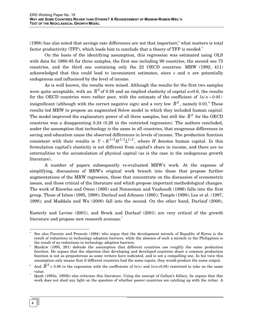(1998) has also noted that savings rate differences are not that important;<sup>[4](#page-9-0)</sup> what matters is total factor productivity (TFP), which leads him to conclude that a theory of TFP is needed.<sup>5</sup>

On the basis of the identifying assumption, this regression was estimated using OLS with data for 1960-85 for three samples, the first one including 98 countries, the second one 75 countries, and the third one containing only the 22 OECD countries. MRW (1992, 411) acknowledged that this could lead to inconsistent estimates, since *s* and *n* are potentially endogenous and influenced by the level of income.

As is well known, the results were mixed. Although the results for the first two samples were quite acceptable, with an  $\bar{R}^2$  of 0.59 and an implied elasticity of capital  $a=0.6$ , the results for the OECD countries were rather poor, with the estimate of the coefficient of  $ln(n + 0.05)$ insignificant (although with the correct negative sign) and a very low  $\overline{R}^2$  , namely 0.01.<sup>[6](#page-9-2)</sup> These results led MRW to propose an augmented Solow model in which they included human capital. The model improved the explanatory power of all three samples, but still the  $\overline{R}^2$  for the OECD countries was a disappointing 0.24 (0.28 in the restricted regression). The authors concluded, under the assumption that technology is the same in all countries, that exogenous differences in saving and education cause the observed differences in levels of income. The production function consistent with their results is  $Y = K^{1/3} H^{1/3} L^{1/3}$ , where *H* denotes human capital. In this formulation capital's elasticity is not different from capital's share in income, and there are no externalities to the accumulation of physical capital (as is the case in the endogenous growth literature).

A number of papers subsequently re-evaluated MRW's work. At the expense of simplifying, discussions of MRW's original work branch into those that propose further augmentations of the MRW regression, those that concentrate on the discussion of econometric issues, and those critical of the literature and which propose important methodological changes. The work of Knowles and Owen (1995) and Nonneman and Vanhoudt (1996) falls into the first group. Those of Islam (1995, 1998); Durlauf and Johnson (1995); Temple (1998); Lee et al. (1997, 1998); and Maddala and Wu (2000) fall into the second. On the other hand, Durlauf (2000),

Easterly and Levine (2001), and Brock and Durlauf (2001) are very critical of the growth literature and propose new research avenues. $^7$  $^7$ 

<span id="page-9-0"></span>See also Parente and Prescott (1994) who argue that the development miracle of Republic of Korea is the result of reductions in technology adoption barriers, while the absence of such a miracle in the Philippines is the result of no reductions in technology adoption barriers.

<span id="page-9-1"></span>Mankiw (1995, 281) defends the assumption that different countries use roughly the same production function. He argues that the objection that developing and developed countries share a common production function is not as preposterous as some writers have indicated, and is not a compelling one. In his view this assumption only means that if different countries had the same inputs, they would produce the same output.

<span id="page-9-2"></span><sup>6</sup> And  $\overline{R}^2$  = 0.06 in the regression with the coefficients of  $ln(s)$  and  $ln(n+0.05)$  restricted to take on the same value.

<span id="page-9-3"></span>Quah (1993a, 1993b) also criticizes this literature. Using the concept of Galton's fallacy, he argues that this work does not shed any light on the question of whether poorer countries are catching up with the richer. A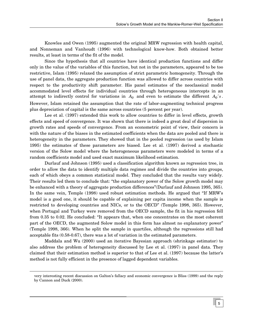Knowles and Owen (1995) augmented the original MRW regression with health capital, and Nonneman and Vanhoudt (1996) with technological know-how. Both obtained better results, at least in terms of the fit of the model.

Since the hypothesis that all countries have identical production functions and differ only in the value of the variables of this function, but not in the parameters, appeared to be too restrictive, Islam (1995) relaxed the assumption of strict parametric homogeneity. Through the use of panel data, the aggregate production function was allowed to differ across countries with respect to the productivity shift parameter. His panel estimates of the neoclassical model accommodated level effects for individual countries through heterogeneous intercepts in an attempt to indirectly control for variations in  $A_0$  and even to estimate the different  $A_0$ 's. However, Islam retained the assumption that the rate of labor-augmenting technical progress plus depreciation of capital is the same across countries (5 percent per year).

Lee et al. (1997) extended this work to allow countries to differ in level effects, growth effects and speed of convergence. It was shown that there is indeed a great deal of dispersion in growth rates and speeds of convergence. From an econometric point of view, their concern is with the nature of the biases in the estimated coefficients when the data are pooled and there is heterogeneity in the parameters. They showed that in the pooled regression (as used by Islam 1995) the estimates of these parameters are biased. Lee et al. (1997) derived a stochastic version of the Solow model where the heterogeneous parameters were modeled in terms of a random coefficients model and used exact maximum likelihood estimation.

Durlauf and Johnson (1995) used a classification algorithm known as regression tree, in order to allow the data to identify multiple data regimes and divide the countries into groups, each of which obeys a common statistical model. They concluded that the results vary widely. Their results led them to conclude that: "the explanatory power of the Solow growth model may be enhanced with a theory of aggregate production differences"(Durlauf and Johnson 1995, 365). In the same vein, Temple (1998) used robust estimation methods. He argued that "If MRW's model is a good one, it should be capable of explaining per capita income when the sample is restricted to developing countries and NICs, or to the OECD" (Temple 1998, 365). However, when Portugal and Turkey were removed from the OECD sample, the fit in his regression fell from 0.35 to 0.02. He concluded: "It appears that, when one concentrates on the most coherent part of the OECD, the augmented Solow model in this form has almost no explanatory power" (Temple 1998, 366). When he split the sample in quartiles, although the regressions still had acceptable fits (0.58-0.67), there was a lot of variation in the estimated parameters.

Maddala and Wu (2000) used an iterative Bayesian approach (shrinkage estimator) to also address the problem of heterogeneity discussed by Lee et al. (1997) in panel data. They claimed that their estimation method is superior to that of Lee et al. (1997) because the latter's method is not fully efficient in the presence of lagged dependent variables.

j

very interesting recent discussion on Galton's fallacy and economic convergence is Bliss (1999) and the reply by Cannon and Duck (2000).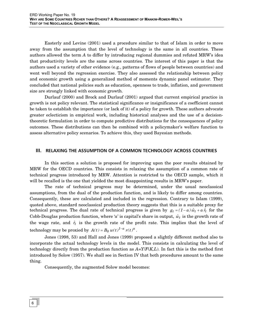<span id="page-11-0"></span>Easterly and Levine (2001) used a procedure similar to that of Islam in order to move away from the assumption that the level of technology is the same in all countries. These authors allowed the term *A* to differ by introducing regional dummies and refuted MRW's idea that productivity levels are the same across countries. The interest of this paper is that the authors used a variety of other evidence (e.g., patterns of flows of people between countries) and went well beyond the regression exercise. They also assessed the relationship between policy and economic growth using a generalized method of moments dynamic panel estimator. They concluded that national policies such as education, openness to trade, inflation, and government size are strongly linked with economic growth.

Durlauf (2000) and Brock and Durlauf (2001) argued that current empirical practice in growth is not policy relevant. The statistical significance or insignificance of a coefficient cannot be taken to establish the importance (or lack of it) of a policy for growth. These authors advocate greater eclecticism in empirical work, including historical analyses and the use of a decisiontheoretic formulation in order to compute predictive distributions for the consequences of policy outcomes. These distributions can then be combined with a policymaker's welfare function to assess alternative policy scenarios. To achieve this, they used Bayesian methods.

### **III. RELAXING THE ASSUMPTION OF A COMMON TECHNOLOGY ACROSS COUNTRIES**

In this section a solution is proposed for improving upon the poor results obtained by MRW for the OECD countries. This consists in relaxing the assumption of a common rate of technical progress introduced by MRW. Attention is restricted to the OECD sample, which it will be recalled is the one that yielded the most disappointing results in MRW's paper.

The rate of technical progress may be determined, under the usual neoclassical assumptions, from the dual of the production function, and is likely to differ among countries. Consequently, these are calculated and included in the regression. Contrary to Islam (1999), quoted above, standard neoclassical production theory suggests that this is a suitable proxy for technical progress. The dual rate of technical progress is given by  $g_t = (1 - a) \hat{w}_t + a \hat{r}_t$  for the Cobb-Douglas production function, where *'a'* is capital's share in output,  $\hat{w}_t$  is the growth rate of the wage rate, and  $\hat{r}_t$  is the growth rate of the profit rate. This implies that the level of technology may be proxied by  $A(t) = B_0 w(t)^{1-a} r(t)^a$ .

Jones (1998, 53) and Hall and Jones (1999) proposed a slightly different method also to incorporate the actual technology levels in the model. This consists in calculating the level of technology directly from the production function as  $A = Y/F(K,L)$ . In fact this is the method first introduced by Solow (1957). We shall see in Section IV that both procedures amount to the same thing.

Consequently, the augmented Solow model becomes: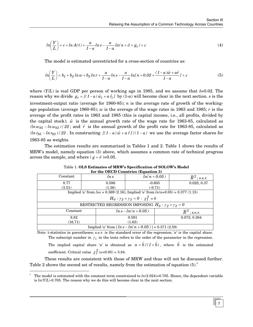$$
ln\left(\frac{Y}{L}\right) = c + ln A(t) + \frac{a}{1-a}ln s - \frac{a}{1-a}ln(n + \delta + g_t) + \varepsilon
$$
\n<sup>(4)</sup>

The model is estimated unrestricted for a cross-section of countries as:

$$
ln\left(\frac{Y}{L}\right) = b_1 + b_2 \ln w + b_3 \ln r + \frac{a}{1-a} \ln s - \frac{a}{1-a} \ln\left[n + 0.02 + \frac{(1-a)\hat{w} + a\hat{r}}{1-a}\right] + \varepsilon
$$
(5)

where  $(Y/L)$  is real GDP per person of working age in 1985, and we assume that  $\delta = 0.02$ . The reason why we divide  $g_t = [(1-a)\hat{w}_t + a\hat{r}_t]$  by  $(1-a)$  will become clear in the next section. *s* is the  $(ln w_{85} - ln w_{63}) / 22$ ; and  $\hat{r}$  is the annual growth of the profit rate for 1963-85, calculated as  $(ln r_{85} - ln r_{63}) / 22$ . In constructing  $[(1 - a) \hat{w} + a \hat{r}]/(1 - a)$  we use the average factor shares for investment-output ratio (average for 1960-85); *n* is the average rate of growth of the workingage population (average 1960-85); *w* is the average of the wage rates in 1963 and 1985; *r* is the average of the profit rates in 1963 and 1985 (this is capital income, i.e., all profits, divided by the capital stock);  $\hat{w}$  is the annual growth rate of the wage rate for 1963-85, calculated as 1963-85 as weights.

The estimation results are summarized in Tables 1 and 2. Table 1 shows the results of MRW's model, namely equation (3) above, which assumes a common rate of technical progress across the sample, and where ( $g + \delta$ )=0.05.

| for the OECD Countries (Equation 3)                    |                                                                                      |                |           |                           |  |
|--------------------------------------------------------|--------------------------------------------------------------------------------------|----------------|-----------|---------------------------|--|
| Constant                                               | ln s                                                                                 | $ln(n + 0.05)$ |           | $\overline{R}^2$ ; s.e.r. |  |
| 8.77                                                   | 0.586                                                                                |                | $-0.605$  | 0.025; 0.37               |  |
| (3.51)                                                 | (1.36)                                                                               |                | $(-0.71)$ |                           |  |
|                                                        | Implied 'a' from $ln s = 0.369$ (2.16); Implied 'a' from $ln(n+0.05) = 0.377$ (1.15) |                |           |                           |  |
|                                                        | $H_0: \gamma_2 + \gamma_3 = 0: \chi_1^2 = 0$                                         |                |           |                           |  |
|                                                        | RESTRICTED REGRESSION IMPOSING $H_0: \gamma_2 + \gamma_3 = 0$                        |                |           |                           |  |
| Constant                                               | $ln s - ln(n + 0.05)$<br>$\overline{R}^2$ ; s.e.r.                                   |                |           |                           |  |
| 8.82                                                   |                                                                                      | 0.591          |           | 0.073; 0.364              |  |
| (16.71)                                                |                                                                                      | (1.63)         |           |                           |  |
| Implied 'a' from $[ln s - ln(n + 0.05)] = 0.371(2.59)$ |                                                                                      |                |           |                           |  |

Table 1. **OLS Estimates of MRW's Specification of SOLOW's Model**   $f(x) = \mathbf{I} \cdot \mathbf{O} \cdot \mathbf{E} \cdot \mathbf{O} \cdot \mathbf{O} \cdot \mathbf{I} \cdot \mathbf{I} \cdot \mathbf{I} \cdot \mathbf{I} \cdot \mathbf{I} \cdot \mathbf{I} \cdot \mathbf{I} \cdot \mathbf{I} \cdot \mathbf{I} \cdot \mathbf{I} \cdot \mathbf{I} \cdot \mathbf{I} \cdot \mathbf{I} \cdot \mathbf{I} \cdot \mathbf{I} \cdot \mathbf{I} \cdot \mathbf{I} \cdot \mathbf{I} \cdot \mathbf{I} \cdot \mathbf{I} \cdot \mathbf{I} \cdot \mathbf{I} \cdot$ 

Note: t-statistics in parentheses; s.e.r. is the standard error of the regression; '*a*' is the capital share. The subscript number in  $\gamma_i$  in the tests refers to the order of the parameter in the regression.

The implied capital share 'a' is obtained as  $a = \hat{b}/(1+\hat{b})$ , where  $\hat{b}$  is the estimated coefficient. Critical value  $\chi^2_1(\alpha=0.05) = 3.84$ .

These results are consistent with those of MRW and thus will not be discussed further. Table 2 shows the second set of results, namely from the estimation of equation  $(5)^8$  $(5)^8$ .

<span id="page-12-0"></span> <sup>8</sup> The model is estimated with the constant term constrained to *ln*(2.024)=0.705. Hence, the dependent variable is  $ln(Y/L)$ -0.705. The reason why we do this will become clear in the next section.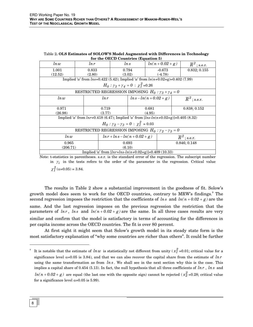| ln w                                                   | ln r<br>ln s                                                                                   |                                                       |                           | $ln(n+0.02+g)$ |                             | $\overline{R}{}^2$ ; s.e.r. |
|--------------------------------------------------------|------------------------------------------------------------------------------------------------|-------------------------------------------------------|---------------------------|----------------|-----------------------------|-----------------------------|
| 1.001                                                  | 0.833                                                                                          | 0.794                                                 |                           | $-0.673$       |                             | 0.832; 0.155                |
| (12.52)                                                | (2.80)                                                                                         | (3.02)                                                | $(-4.78)$                 |                |                             |                             |
|                                                        | Implied 'a' from $lns=0.422$ (5.42); Implied 'a' from $ln(n+0.02+g)=0.402$ (7.99)              |                                                       |                           |                |                             |                             |
|                                                        |                                                                                                | $H_0$ : $\gamma_3 + \gamma_4 = 0$ : $\chi_1^2 = 0.26$ |                           |                |                             |                             |
|                                                        | RESTRICTED REGRESSION IMPOSING $H_0: \gamma_3 + \gamma_4 = 0$                                  |                                                       |                           |                |                             |                             |
| ln w                                                   | ln r                                                                                           |                                                       | $ln s - ln(n + 0.02 + g)$ |                |                             | $\overline{R}^2$ ; s.e.r.   |
| 0.971                                                  | 0.719                                                                                          | 0.681                                                 |                           |                | 0.838; 0.152                |                             |
| (26.98)                                                | (3.77)                                                                                         |                                                       | (4.95)                    |                |                             |                             |
|                                                        | Implied 'a' from $lnr=0.418$ (6.47); Implied 'a' from $[lns\text{-}ln(n+0.02+g)]=0.405$ (8.32) |                                                       |                           |                |                             |                             |
|                                                        | $H_0$ : $\gamma_2 - \gamma_3 = 0$ : $\chi_1^2 = 0.03$                                          |                                                       |                           |                |                             |                             |
|                                                        | RESTRICTED REGRESSION IMPOSING $H_0: \gamma_2 - \gamma_3 = 0$                                  |                                                       |                           |                |                             |                             |
| ln w                                                   |                                                                                                | $ln r + ln s - ln(n + 0.02 + g)$                      |                           |                | $\overline{R}{}^2$ ; s.e.r. |                             |
| 0.965                                                  |                                                                                                | 0.693                                                 |                           |                |                             | 0.846; 0.148                |
|                                                        | (206.71)                                                                                       |                                                       | (6.10)                    |                |                             |                             |
| Implied 'a' from $[lnr+lns-ln(n+0.02+g)]=0.409(10.33)$ |                                                                                                |                                                       |                           |                |                             |                             |

Table 2**. OLS Estimates of SOLOW'S Model Augmented with Differences in Technology for the OECD Countries (Equation 5)** 

Note: t-statistics in parentheses. s.e.r. is the standard error of the regression. The subscript number in  $\gamma_i$  in the tests refers to the order of the parameter in the regression. Critical value  $\chi^2_1(\alpha=0.05) = 3.84.$ 

The results in Table 2 show a substantial improvement in the goodness of fit. Solow's growth model does seem to work for the OECD countries, contrary to MRW's findings.<sup>9</sup> The second regression imposes the restriction that the coefficients of  $ln s$  and  $ln(n + 0.02 + g)$  are the same. And the last regression imposes on the previous regression the restriction that the parameters of  $ln r$ ,  $ln s$  and  $ln(n + 0.02 + g)$  are the same. In all three cases results are very similar and confirm that the model is satisfactory in terms of accounting for the differences in per capita income across the OECD countries. The fit is over 80 percent.

At first sight it might seem that Solow's growth model in its steady state form is the most satisfactory explanation of "why some countries are richer than others". It could be further

<span id="page-13-0"></span> $^9$  It is notable that the estimate of  $\ln w$  is statistically not different from unity (  $x_I^2$  =0.01; critical value for a significance level  $\alpha$ =0.05 is 3.84), and that we can also recover the capital share from the estimate of  $\ln r$ using the same transformation as from  $ln s$ . We shall see in the next section why this is the case. This implies a capital share of 0.454 (5.13). In fact, the null hypothesis that all three coefficients of  $ln r$ ,  $ln s$  and  $ln(n + 0.02 + g)$  are equal (the last one with the opposite sign) cannot be rejected (  $x_2^2$  =0.28; critical value for a significance level  $\alpha$ =0.05 is 5.99).

j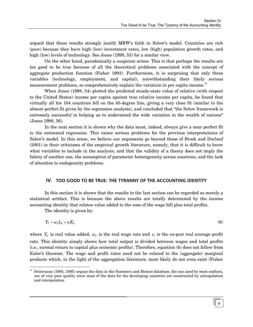<span id="page-14-0"></span>argued that these results strongly justify MRW's faith in Solow's model. Countries are rich (poor) because they have high (low) investment rates, low (high) population growth rates, and high (low) levels of technology. See Jones (1998, 53) for a similar view.

On the other hand, paradoxically a suspicion arises. This is that perhaps the results are too good to be true because of all the theoretical problems associated with the concept of aggregate production function (Fisher 1993). Furthermore, it is surprising that only three variables (technology, employment, and capital), notwithstanding their likely serious measurement problems, so comprehensively explain the variation in per capita income.<sup>10</sup>

When Jones (1998, 54) plotted the predicted steady-state value of relative (with respect to the United States) income per capita against true relative income per capita, he found that virtually all his 104 countries fell on the 45-degree line, giving a very close fit (similar to the almost perfect fit given by the regression analysis), and concluded that "the Solow framework is extremely successful in helping us to understand the wide variation in the wealth of nations" (Jones 1998, 56).

In the next section it is shown why the data must, indeed, always give a near perfect fit to the estimated regression. This raises serious problems for the previous interpretations of Solow's model. In this sense, we believe our arguments go beyond those of Brock and Durlauf (2001) in their criticisms of the empirical growth literature, namely, that it is difficult to know what variables to include in the analysis; and that the validity of a theory does not imply the falsity of another one, the assumption of parameter heterogeneity across countries, and the lack of attention to endogeneity problems.

# **IV. TOO GOOD TO BE TRUE: THE TYRANNY OF THE ACCOUNTING IDENTITY**

In this section it is shown that the results in the last section can be regarded as merely a statistical artifact. This is because the above results are totally determined by the income accounting identity that relates value added to the sum of the wage bill plus total profits.

The identity is given by:

$$
Y_t = w_t L_t + r_t K_t \tag{6}
$$

where  $Y_t$  is real value added,  $w_t$  is the real wage rate and  $r_t$  is the ex-post real average profit rate. This identity simply shows how total output is divided between wages and total profits (i.e., normal return to capital plus economic profits). Therefore, equation (6) does not follow from Euler's theorem. The wage and profit rates need not be related to the (aggregate) marginal products which, in the light of the aggregation literature, most likely do not even exist (Fisher

<span id="page-14-1"></span><sup>&</sup>lt;sup>10</sup> Srinivasan (1994, 1995) argues the data in the Summers and Heston database, the one used by most authors, are of very poor quality since most of the data for the developing countries are constructed by extrapolation and interpolation.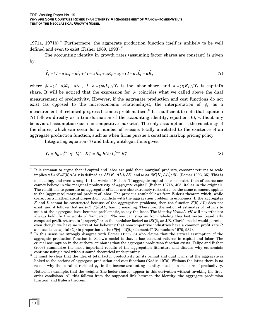1971a, 1971b).<sup>11</sup> Furthermore, the aggregate production function itself is unlikely to be well defined and even to exist (Fisher 1969, 1993).<sup>[12](#page-15-1)</sup>

The accounting identity in growth rates (assuming factor shares are constant) is given by:

$$
\hat{Y}_t = (1 - a)\hat{w}_t + a\hat{r}_t + (1 - a)\hat{L}_t + a\hat{K}_t = \phi_t + (1 - a)\hat{L}_t + a\hat{K}_t
$$
\n(7)

where  $\phi_t = (1 - a)\hat{w}_t + a\hat{r}_t$ ,  $1 - a = (w_t L_t)/Y_t$  is the labor share, and  $a = (r_t K_t)/Y_t$  is capital's share. It will be noticed that the expression for  $\phi_t$  coincides what we called above the dual measurement of productivity. However, if the aggregate production and cost functions do not exist (as opposed to the microeconomic relationships), the interpretation of  $\phi_t$  as a measurement of technical progress becomes problematical.<sup>13</sup> It is sufficient to note that equation (7) follows directly as a transformation of the accounting identity, equation (6), without any behavioral assumption (such as competitive markets). The only assumption is the constancy of the shares, which can occur for a number of reasons totally unrelated to the existence of an aggregate production function, such as when firms pursue a constant markup pricing policy.

Integrating equation (7) and taking antilogarithms gives:

$$
Y_t = B_0 \ w_t^{1-a} r_t^a \ L_t^{1-a} \ K_t^a = B_0 \ B(t) \ L_t^{1-a} \ K_t^a \tag{8}
$$

<span id="page-15-2"></span>continue using a tool without sound theoretical underpinning.<br>It must be clear that the idea of total factor productivity (in its primal and dual forms) at the aggregate is linked to the notions of aggregate production and cost functions (Nadiri 1970). Without the latter there is no reason why the so-called residual  $\phi_t$  in the income accounting identity must be a measure of productivity. Notice, for example, that the weights (the factor shares) appear in this derivation without invoking the firstorder conditions. All this follows from the supposed link between the identity, the aggregate production function, and Euler's theorem.

<span id="page-15-0"></span> <sup>11</sup> It is common to argue that if capital and labor are paid their marginal products, constant returns to scale implies  $wL+rK=F(K,AL)$ . r is defined as  $\partial F(K,AL)/\partial K$  and w as  $\partial F(K,AL)/\partial L$  (Romer 1996, 35). This is misleading, and even wrong. In the words of Fisher: "If aggregate capital does not exist, then of course one cannot believe in the marginal productivity of *aggregate* capital" (Fisher 1971b, 405; italics in the original). The conditions to generate an aggregator of labor are also extremely restrictive, so the same comment applies to the (aggregate) marginal product of labor. The previous result follows from Euler's theorem which, while correct as a mathematical proposition, conflicts with the aggregation problem in economics. If the aggregates *K* and *L* cannot be constructed because of the aggregation problems, then the function *F*(*K, AL*) does not exist, and it follows that *wL*+*rK*=*F*(*K,AL*) has no meaning. Therefore, the notion of estimates of returns to scale at the aggregate level becomes problematic, to say the least. The identity *VA=wL*+*rK* will nevertheless always hold. In the words of Samuelson: "No one can stop us from labeling this last vector [residually computed profit returns to "property" or to the nonlabor factor] as (*RC*j), as J.B. Clark's model would permit– even though we have no warrant for believing that noncompetitive industries have a common profit rate *R* and use leets capital  $(Cj)$  in proportion to the  $(Pjqj - WjLj)$  elements!" (Samuelson 1979, 932).<br>In this sense we strongly disagree with Romer (1996, 8) who claims that the critical assumption of the

<span id="page-15-1"></span>aggregate production function in Solow's model is that it has constant returns in capital and labor. The crucial assumption in the authors' opinion is that the aggregate production function exists. Felipe and Fisher (2003) summarize the most important results of the aggregation literature and discuss why economists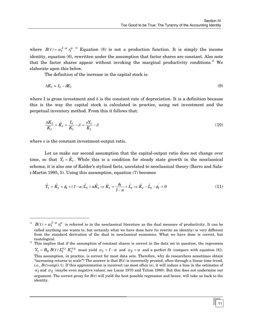where  $B(t) = w_t^{1-a} r_t^a$ .<sup>14</sup> Equation (8) is not a production function. It is simply the income identity, equation (6), rewritten under the assumption that factor shares are constant. Also note that the factor shares appear without invoking the marginal productivity conditions.<sup>15</sup> We elaborate upon this below.

The definition of the increase in the capital stock is:

$$
\Delta K_t \equiv I_t - \delta K_t \tag{9}
$$

where I is gross investment and  $\delta$  is the constant rate of depreciation. It is a definition because this is the way the capital stock is calculated in practice, using net investment and the perpetual inventory method. From this it follows that:

$$
\frac{\Delta K_t}{K_t} = \hat{K}_t = \frac{I_t}{K_t} - \delta = \frac{sY_t}{K_t} - \delta \tag{10}
$$

where *s* is the constant investment-output ratio.

-

Let us make our second assumption that the capital-output ratio does not change over time, so that  $\hat{Y}_t = \hat{K}_t$ . While this is a condition for steady state growth in the neoclassical schema, it is also one of Kaldor's stylized facts, unrelated to neoclassical theory (Barro and Salai-Martin 1995, 5). Using this assumption, equation (7) becomes

$$
\hat{Y}_t = \hat{K}_t = \phi_t + (1 - \alpha)\hat{L}_t + \alpha \hat{K}_t \Rightarrow \hat{K}_t = \frac{\phi_t}{1 - \alpha} + \hat{L}_t \Rightarrow \hat{K}_t - \hat{L}_t - \phi_t = 0 \tag{11}
$$

<span id="page-16-1"></span><sup>15</sup> This implies that if the assumption of constant shares is correct in the data set in question, the regression  $Y_t = B_0 B(t) L_t^{\alpha_1} K_t^{\alpha_2}$  must yield  $\alpha_1 = 1 - a$  and  $\alpha_2 = a$  and a perfect fit (compare with equation [8]). This assumption, in practice, is correct for most data sets. Therefore, why do researchers sometimes obtain "increasing returns to scale"? The answer is that  $B(t)$  is incorrectly proxied, often through a linear time trend, i.e.,  $B(t)=\exp(\lambda t)$ . If this approximation is incorrect (as most often is), it will induce a bias in the estimates of  $\alpha_1$  and  $\alpha_2$  (maybe even negative values; see Lucas 1970 and Tatom 1980). But this does not undermine our argument. The correct proxy for  $B(t)$  will yield the best possible regression and hence, will take us back to the identity.

<span id="page-16-0"></span> $B(t) = w_t^{1-a} r_t^a$  is referred to in the neoclassical literature as the dual measure of productivity. It can be called anything one wants to, but certainly what we have done here (to rewrite an identity) is very different from the standard derivation of the dual in neoclassical economics. What we have done is correct, but tautological.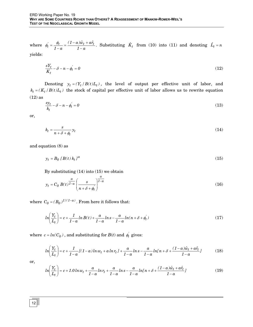where  $\phi_t = \frac{\psi_t}{1-a} = \frac{(1-a)x}{1-a}$  $(1 - a)\hat{w}_t + a\hat{r}_t$ *1 a*  $\phi_t = \frac{\phi_t}{1-a} = \frac{(1-a)\hat{w}_t + a\hat{r}_t}{1-a}$ . Substituting  $\hat{K}_t$  from (10) into (11) and denoting  $\hat{L}_t = n$ yields:

$$
\frac{sY_t}{K_t} - \delta - n - \phi_t' = 0\tag{12}
$$

Denoting  $y_t = (Y_t / B(t)L_t)$ , the level of output per effective unit of labor, and  $k_t = (K_t / B(t)L_t)$  the stock of capital per effective unit of labor allows us to rewrite equation (12) as

$$
\frac{sy_t}{k_t} - \delta - n - \phi_t = 0 \tag{13}
$$

or,

$$
k_t = \frac{s}{n + \delta + \phi_t} y_t \tag{14}
$$

and equation (8) as

$$
y_t = B_0 \left[ B(t) \, k_t \right]^a \tag{15}
$$

By substituting (14) into (15) we obtain

$$
y_t = C_0 B(t)^{\frac{a}{1-a}} \left(\frac{s}{n + \delta + \phi_t}\right)^{\frac{a}{1-a}}
$$
(16)

where  $C_0 = (B_0)^{1/(1-a)}$ . From here it follows that:

$$
ln\left(\frac{Y_t}{L_t}\right) = c + \frac{1}{1-a}ln B(t) + \frac{a}{1-a}ln s - \frac{a}{1-a}ln(n + \delta + \phi_t)
$$
 (17)

where  $c = ln(C_0)$ , and substituting for  $B(t)$  and  $\phi_t$  gives:

$$
ln\left(\frac{Y_t}{L_t}\right) = c + \frac{1}{1-a}[(1-a)ln w_t + a ln r_t] + \frac{a}{1-a}ln s - \frac{a}{1-a}ln[n + \delta + \frac{(1-a)\hat{w}_t + a\hat{r}_t}{1-a}]
$$
(18)

or,

$$
ln\left(\frac{Y_t}{L_t}\right) = c + 1.0\ln w_t + \frac{a}{1-a}\ln r_t + \frac{a}{1-a}\ln s - \frac{a}{1-a}\ln\left[n + \delta + \frac{(1-a)\hat{w}_t + a\hat{r}_t}{1-a}\right]
$$
(19)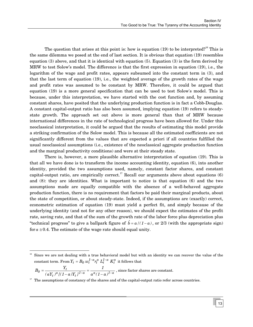The question that arises at this point is: how is equation  $(19)$  to be interpreted?<sup>16</sup> This is the same dilemma we posed at the end of last section. It is obvious that equation (19) resembles equation (3) above, and that it is identical with equation (5). Equation (3) is the form derived by MRW to test Solow's model. The difference is that the first expression in equation (19), i.e., the logarithm of the wage and profit rates, appears subsumed into the constant term in (3), and that the last term of equation (19), i.e., the weighted average of the growth rates of the wage and profit rates was assumed to be constant by MRW. Therefore, it could be argued that equation (19) is a more general specification that can be used to test Solow's model. This is because, under this interpretation, we have started with the cost function and, by assuming constant shares, have posited that the underlying production function is in fact a Cobb-Douglas. A constant capital-output ratio has also been assumed, implying equation (19) refers to steadystate growth. The approach set out above is more general than that of MRW because international differences in the rate of technological progress have been allowed for. Under this neoclassical interpretation, it could be argued that the results of estimating this model provide a striking confirmation of the Solow model. This is because all the estimated coefficients are not significantly different from the values that are expected a priori if all countries fulfilled the usual neoclassical assumptions (i.e., existence of the neoclassical aggregate production function and the marginal productivity conditions) and were at their steady state.

There is, however, a more plausible alternative interpretation of equation (19). This is that all we have done is to transform the income accounting identity, equation (6), into another identity, provided the two assumptions used, namely, constant factor shares, and constant capital-output ratio, are empirically correct.<sup>17</sup> Recall our arguments above about equations  $(6)$ and (8): they are identities. What is important to notice is that equation (6) and the two assumptions made are equally compatible with the absence of a well-behaved aggregate production function, there is no requirement that factors be paid their marginal products, about the state of competition, or about steady-state. Indeed, if the assumptions are (exactly) correct, econometric estimation of equation (19) must yield a perfect fit, and simply because of the underlying identity (and not for any other reason), we should expect the estimates of the profit rate, saving rate, and that of the sum of the growth rate of the labor force plus depreciation plus "technical progress" to give a ballpark figure of  $\hat{b} = a/(1-a)$ , or 2/3 (with the appropriate sign) for  $a \approx 0.4$ . The estimate of the wage rate should equal unity.

<span id="page-18-0"></span>Since we are not dealing with a true behavioral model but with an identity we can recover the value of the  $\frac{1}{2}$  constant term. From  $Y_t = B_0 \ w_t^{1-a} r_t^a \ L_t^{1-a} \ K_t^a$  it follows that

 $a_t^{a}$   $\int_0^a (1-a)Y_t \int_0^{1-a} a^a (1-a)^{1-a}$  $0 = \frac{I_t}{(aY_t)^a [(1-a)Y_t]^{1-a}} = \frac{I}{a^a (1-a)}$ *1*  $B_0 = \frac{Y_t}{(aY_t)^a [(1-a)Y_t]^{1-a}} = \frac{1}{a^a (1-a)^{1-a}}$ , since factor shares are constant.

<span id="page-18-1"></span> $17$  The assumptions of constancy of the shares and of the capital-output ratio refer across countries.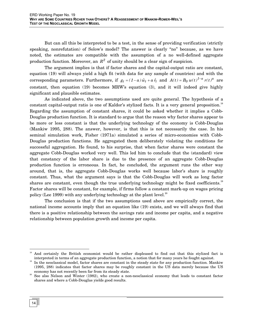But can all this be interpreted to be a test, in the sense of providing verification (strictly speaking, nonrefutation) of Solow's model? The answer is clearly "no" because, as we have noted, the estimates are compatible with the assumption of a no well-defined aggregate production function. Moreover, an  $R^2$  of unity should be a clear sign of suspicion.

The argument implies is that if factor shares and the capital-output ratio are constant, equation (19) will always yield a high fit (with data for any sample of countries) and with the corresponding parameters. Furthermore, if  $g_t = (1-a)\hat{w}_t + a\hat{r}_t$  and  $A(t) = B_0 w(t)^{1-a} r(t)^a$  are constant, then equation (19) becomes MRW's equation (3), and it will indeed give highly significant and plausible estimates.

As indicated above, the two assumptions used are quite general. The hypothesis of a constant capital-output ratio is one of Kaldor's stylized facts. It is a very general proposition.<sup>[18](#page-19-0)</sup> Regarding the assumption of constant shares, it could be asked whether it implies a Cobb-Douglas production function. It is standard to argue that the reason why factor shares appear to be more or less constant is that the underlying technology of the economy is Cobb-Douglas (Mankiw 1995, 288). The answer, however, is that this is not necessarily the case. In his seminal simulation work, Fisher (1971a) simulated a series of micro-economies with Cobb-Douglas production functions. He aggregated them deliberately violating the conditions for successful aggregation. He found, to his surprise, that when factor shares were constant the aggregate Cobb-Douglas worked very well. This led him to conclude that the (standard) view that constancy of the labor share is due to the presence of an aggregate Cobb-Douglas production function is erroneous. In fact, he concluded, the argument runs the other way around, that is, the aggregate Cobb-Douglas works well because labor's share is roughly constant. Thus, what the argument says is that the Cobb-Douglas will work as long factor shares are constant, even though the true underlying technology might be fixed coefficients.<sup>[19](#page-19-1)</sup> Factor shares will be constant, for example, if firms follow a constant mark-up on wages pricing policy (Lee 1999) with any underlying technology at the plant level.<sup>20</sup>

The conclusion is that if the two assumptions used above are empirically correct, the national income accounts imply that an equation like (19) exists, and we will always find that there is a positive relationship between the savings rate and income per capita, and a negative relationship between population growth and income per capita.

<span id="page-19-0"></span> <sup>18</sup> And certainly the British economist would be rather displeased to find out that this stylized fact is interpreted in terms of an aggregate production function, a notion that for many years he fought against.<br>In the neoclassical model, factor shares are constant in the steady state for any production function. Mankiw

<span id="page-19-1"></span><sup>(1995, 288)</sup> indicates that factor shares may be roughly constant in the US data merely because the US

<span id="page-19-2"></span>economy has not recently been far from its steady state.<br>20 See also Nelson and Winter (1982), who create a non-neoclassical economy that leads to constant factor shares and where a Cobb-Douglas yields good results.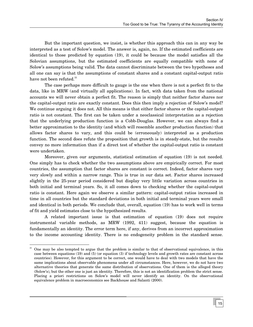But the important question, we insist, is whether this approach this can in any way be interpreted as a test of Solow's model. The answer is, again, no. If the estimated coefficients are identical to those predicted by equation (19), it could be because the model satisfies all the Solovian assumptions, but the estimated coefficients are equally compatible with none of Solow's assumptions being valid. The data cannot discriminate between the two hypotheses and all one can say is that the assumptions of constant shares and a constant capital-output ratio have not been refuted.<sup>21</sup>

The case perhaps more difficult to gauge is the one when there is not a perfect fit to the data, like in MRW (and virtually all applications). In fact, with data taken from the national accounts we will never obtain a perfect fit. The reason is simply that neither factor shares nor the capital-output ratio are exactly constant. Does this then imply a rejection of Solow's model? We continue arguing it does not. All this means is that either factor shares or the capital-output ratio is not constant. The first can be taken under a neoclassical interpretation as a rejection that the underlying production function is a Cobb-Douglas. However, we can always find a better approximation to the identity (and which will resemble another production function) that allows factor shares to vary, and this could be (erroneously) interpreted as a production function. The second does refute the proposition that growth is in steady-state, but the results convey no more information than if a direct test of whether the capital-output ratio is constant were undertaken.

Moreover, given our arguments, statistical estimation of equation (19) is not needed. One simply has to check whether the two assumptions above are empirically correct. For most countries, the assumption that factor shares are constant is correct. Indeed, factor shares vary very slowly and within a narrow range. This is true in our data set. Factor shares increased slightly in the 25-year period considered but display very little variation across countries in both initial and terminal years. So, it all comes down to checking whether the capital-output ratio is constant. Here again we observe a similar pattern: capital-output ratios increased in time in all countries but the standard deviations in both initial and terminal years were small and identical in both periods. We conclude that, overall, equation (19) has to work well in terms of fit and yield estimates close to the hypothesized results.

A related important issue is that estimation of equation (19) does not require instrumental variable methods, as MRW (1992, 411) suggest, because the equation is fundamentally an identity. The error term here, if any, derives from an incorrect approximation to the income accounting identity. There is no endogeneity problem in the standard sense.

<span id="page-20-0"></span> <sup>21</sup> One may be also tempted to argue that the problem is similar to that of observational equivalence, in this case between equations (19) and (5) (or equation (3) if technology levels and growth rates are constant across countries). However, for this argument to be correct, one would have to deal with two models that have the same implications about observable phenomena under all circumstances. Here, however, we do not have two alternative theories that generate the same distribution of observations. One of them is the alleged theory (Solow's), but the other one is just an identity. Therefore, this is not an identification problem the strict sense. Placing a priori restrictions on Solow's model will never identify an identity. On the observational equivalence problem in macroeconomics see Backhouse and Salanti (2000).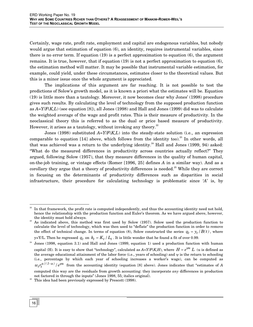Certainly, wage rate, profit rate, employment and capital are endogenous variables, but nobody would argue that estimation of equation (6), an identity, requires instrumental variables, since there is no error term. If equation (19) is a perfect approximation to equation (6), the argument remains. It is true, however, that if equation (19) is not a perfect approximation to equation (6), the estimation method will matter. It may be possible that instrumental variable estimation, for example, could yield, under these circumstances, estimates closer to the theoretical values. But this is a minor issue once the whole argument is appreciated.

The implications of this argument are far reaching. It is not possible to test the predictions of Solow's growth model, as it is known a priori what the estimates will be. Equation (19) is little more than a tautology. Moreover, it now becomes clear why Jones' (1998) procedure gives such results. By calculating the level of technology from the supposed production function as *A=Y*/*F*(*K,L*) (see equation [8]), all Jones (1998) and Hall and Jones (1999) did was to calculate the weighted average of the wage and profit rates. This is their measure of productivity. In the neoclassical theory this is referred to as the dual or price based measure of productivity. However, it arises as a tautology, without invoking any theory. $22$ 

Jones (1998) substituted *A=Y*/*F*(*K,L*) into the steady-state solution (i.e., an expression comparable to equation  $[14]$  above, which follows from the identity too).<sup>23</sup> In other words, all that was achieved was a return to the underlying identity.<sup>24</sup> Hall and Jones (1999, 94) asked: "What do the measured differences in productivity across countries actually reflect?" They argued, following Solow (1957), that they measure differences in the quality of human capital, on-the-job training, or vintage effects (Romer [1996, 25] defines *A* in a similar way). And as a corollary they argue that a theory of productivity differences is needed.<sup>25</sup> While they are correct in focusing on the determinants of productivity differences such as disparities in social infrastructure, their procedure for calculating technology is problematic since '*A*' is, by

<span id="page-21-0"></span> <sup>22</sup> In that framework, the profit rate is computed independently, and thus the accounting identity need not hold, hence the relationship with the production function and Euler's theorem. As we have argued above, however,

<span id="page-21-1"></span>the identity must hold always. 23 As indicated above, this method was first used by Solow (1957). Solow used the production function to calculate the level of technology, which was then used to "deflate" the production function in order to remove the effect of technical change. In terms of equation (8), Solow constructed the series  $q_t = y_t / B(t)$ , where

y=Y/L. Then he regressed  $q_t$  on  $k_t = K_t / L_t$ . It is little wonder that he found a fit of over 0.99.

<span id="page-21-2"></span> $24$  Jones (1998, equation 3.1) and Hall and Jones (1999, equation 1) used a production function with human capital (H). It is easy to show that "technology", calculated as  $A = Y/F(K,H)$ , where  $H = e^{\psi \mu} L$  (u is defined as the average educational attainment of the labor force (i.e., years of schooling) and  $\psi$  is the return to schooling (i.e., percentage by which each year of schooling increases a worker's wage), can be computed as  $w_t r_t^{a/(1-a)}/e^{y u}$  from the accounting identity (equation [8] above). Jones indicates that "estimates of *A* computed this way are the residuals from growth accounting: they incorporate *any* differences in production not factored in through the inputs" (Jones 1998, 55; italics original).

<span id="page-21-3"></span><sup>&</sup>lt;sup>25</sup> This idea had been previously expressed by Prescott  $(1998)$ .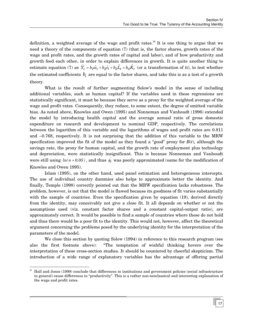definition, a weighted average of the wage and profit rates.<sup>26</sup> It is one thing to argue that we need a theory of the components of equation (7) (that is, the factor shares, growth rates of the wage and profit rates, and the growth rates of capital and labor), and of how productivity and growth feed each other, in order to explain differences in growth. It is quite another thing to estimate equation (7) as  $\hat{Y}_t = b_l \hat{w}_t + b_2 \hat{r}_t + b_3 \hat{L}_t + b_4 \hat{K}_t$  (or a transformation of it), to test whether the estimated coefficients  $b_i$  are equal to the factor shares, and take this is as a test of a growth theory.

What is the result of further augmenting Solow's model in the sense of including additional variables, such as human capital? If the variables used in these regressions are statistically significant, it must be because they serve as a proxy for the weighted average of the wage and profit rates. Consequently, they reduce, to some extent, the degree of omitted variable bias. As noted above, Knowles and Owen (1995) and Nonneman and Vanhoudt (1996) extended the model by introducing health capital and the average annual ratio of gross domestic expenditure on research and development to nominal GDP, respectively. The correlations between the logarithm of this variable and the logarithms of wages and profit rates are 0.811 and –0.768, respectively. It is not surprising that the addition of this variable to the MRW specification improved the fit of the model as they found a "good" proxy for *B*(*t*), although the savings rate, the proxy for human capital, and the growth rate of employment plus technology and depreciation, were statistically insignificant. This is because Nonneman and Vanhoudt were still using  $ln(n + 0.05)$ , and thus  $\phi_t$  was poorly approximated (same for the modification of Knowles and Owen 1995).

Islam (1995), on the other hand, used panel estimation and heterogeneous intercepts. The use of individual country dummies also helps to approximate better the identity. And finally, Temple (1998) correctly pointed out that the MRW specification lacks robustness. The problem, however, is not that the model is flawed because its goodness of fit varies substantially with the sample of countries. Even the specification given by equation (19), derived directly from the identity, may conceivably not give a close fit. It all depends on whether or not the assumptions used (viz. constant factor shares and a constant capital-output ratio), are approximately correct. It would be possible to find a sample of countries where these do not hold and thus there would be a poor fit to the identity. This would not, however, affect the theoretical argument concerning the problems posed by the underlying identity for the interpretation of the parameters of the model.

We close this section by quoting Solow (1994) in reference to this research program (see also the first footnote above): "The temptation of wishful thinking hovers over the interpretation of these cross-section studies. It should be countered by cheerful skepticism. The introduction of a wide range of explanatory variables has the advantage of offering partial

<span id="page-22-0"></span> <sup>26</sup> Hall and Jones (1999) conclude that differences in institutions and government policies (social infrastructure in general) cause differences in "productivity". This is a rather non-neoclassical and interesting explanation of the wage and profit rates.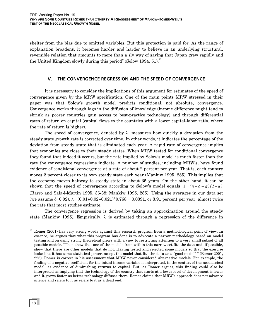<span id="page-23-0"></span>shelter from the bias due to omitted variables. But this protection is paid for. As the range of explanation broadens, it becomes harder and harder to believe in an underlying structural, reversible relation that amounts to more than a sly way of saying that Japan grew rapidly and the United Kingdom slowly during this period" (Solow 1994, 51).<sup>27</sup>

# **V. THE CONVERGENCE REGRESSION AND THE SPEED OF CONVERGENCE**

It is necessary to consider the implications of this argument for estimates of the speed of convergence given by the MRW specification. One of the main points MRW stressed in their paper was that Solow's growth model predicts conditional, not absolute, convergence. Convergence works through lags in the diffusion of knowledge (income difference might tend to shrink as poorer countries gain access to best-practice technology) and through differential rates of return on capital (capital flows to the countries with a lower capital-labor ratio, where the rate of return is higher).

The speed of convergence, denoted by  $\lambda$ , measures how quickly a deviation from the steady state growth rate is corrected over time. In other words, it indicates the percentage of the deviation from steady state that is eliminated each year. A rapid rate of convergence implies that economies are close to their steady states. When MRW tested for conditional convergence they found that indeed it occurs, but the rate implied by Solow's model is much faster than the rate the convergence regressions indicate. A number of studies, including MRW's, have found evidence of conditional convergence at a rate of about 2 percent per year. That is, each country moves 2 percent closer to its own steady state each year (Mankiw 1995, 285). This implies that the economy moves halfway to steady state in about 35 years. On the other hand, it can be shown that the speed of convergence according to Solow's model equals  $\lambda = (n + \delta + g)(1 - a)$ (Barro and Sala-i-Martin 1995, 36-38; Mankiw 1995, 285). Using the averages in our data set (we assume  $\delta = 0.02$ ),  $\lambda = (0.01 + 0.02 + 0.021)^*0.768 = 0.0391$ , or 3.91 percent per year, almost twice the rate that most studies estimate.

The convergence regression is derived by taking an approximation around the steady state (Mankiw 1995). Empirically,  $\lambda$  is estimated through a regression of the difference in

<span id="page-23-1"></span><sup>&</sup>lt;sup>27</sup> Romer (2001) has very strong words against this research program from a methodological point of view. In essence, he argues that what this program has done is to advocate a narrow methodology based on model testing and on using strong theoretical priors with a view to restricting attention to a very small subset of all possible models. "Then show that one of the models from within this narrow set fits the data and, if possible, show that there are other models that do not. Having tested and rejected some models so that the exercise looks like it has some statistical power, accept the model that fits the data as a "good model" " (Romer 2001, 226). Romer is correct in his assessment that MRW never considered alternative models. For example, the finding of a negative coefficient for the initial income variable is interpreted, in the context of the neoclassical model, as evidence of diminishing returns to capital. But, as Romer argues, this finding could also be interpreted as implying that the technology of the country that starts at a lower level of development is lower and it grows faster as better technology diffuses there. Romer claims that MRW's approach does not advance science and refers to it as refers to it as a dead end.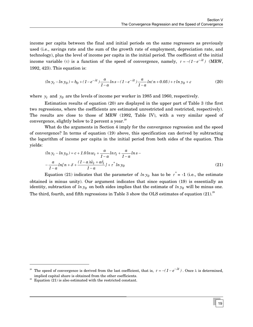income per capita between the final and initial periods on the same regressors as previously used (i.e., savings rate and the sum of the growth rate of employment, depreciation rate, and technology), plus the level of income per capita in the initial period. The coefficient of the initial income variable (τ) is a function of the speed of convergence, namely,  $\tau = -(1 - e^{-\lambda t})$  (MRW, 1992, 423). This equation is:

$$
(ln yt - ln y0) = b0 + (1 - e- $\lambda t$ ) \frac{a}{1 - a} ln s - (1 - e<sup>- $\lambda t$</sup> ) \frac{a}{1 - a} ln(n + 0.05) + \tau ln y<sub>0</sub> + \varepsilon
$$
 (20)

where  $y_t$  and  $y_0$  are the levels of income per worker in 1985 and 1960, respectively.

Estimation results of equation (20) are displayed in the upper part of Table 3 (the first two regressions, where the coefficients are estimated unrestricted and restricted, respectively). The results are close to those of MRW (1992, Table IV), with a very similar speed of convergence, slightly below to 2 percent a year. $^{28}$ 

What do the arguments in Section 4 imply for the convergence regression and the speed of convergence? In terms of equation (19) above, this specification can derived by subtracting the logarithm of income per capita in the initial period from both sides of the equation. This yields:

$$
(ln yt - ln y0) = c + 1.0 ln wt + \frac{a}{1 - a} ln rt + \frac{a}{1 - a} ln s --\frac{a}{1 - a} ln[n + \delta + \frac{(1 - a)\hat{w}t + a\hat{r}t}{1 - a} + \tau^* ln y0
$$
\n(21)

Equation (21) indicates that the parameter of  $\ln y_0$  has to be  $\tau^* = -1$  (i.e., the estimate obtained is minus unity). Our argument indicates that since equation (19) is essentially an identity, subtraction of  $ln y_0$  on both sides implies that the estimate of  $ln y_0$  will be minus one. The third, fourth, and fifth regressions in Table 3 show the OLS estimates of equation  $(21)^{29}$ 

-

<span id="page-24-0"></span><sup>&</sup>lt;sup>28</sup> The speed of convergence is derived from the last coefficient, that is,  $\tau = -(1 - e^{-\lambda t})$ . Once  $\lambda$  is determined, implied capital share is obtained from the other coefficients.

<span id="page-24-1"></span><sup>&</sup>lt;sup>29</sup> Equation (21) is also estimated with the restricted constant.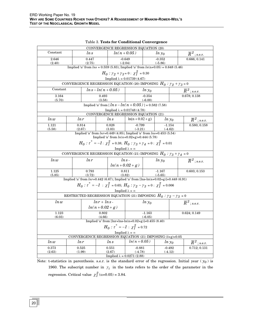| CONVERGENCE REGRESSION EQUATION (20) |                                                                                                   |        |                 |                                                                                                                |                                                                                                   |                       |                       |                             |                             |
|--------------------------------------|---------------------------------------------------------------------------------------------------|--------|-----------------|----------------------------------------------------------------------------------------------------------------|---------------------------------------------------------------------------------------------------|-----------------------|-----------------------|-----------------------------|-----------------------------|
| Constant                             |                                                                                                   | ln s   |                 |                                                                                                                | $ln(n + 0.05)$                                                                                    | $ln y_0$              |                       |                             | $\overline{R}{}^2$ ; s.e.r. |
| 2.646                                |                                                                                                   | 0.447  |                 |                                                                                                                | $-0.649$                                                                                          | $-0.352$              |                       |                             | 0.666; 0.141                |
| (2.40)                               |                                                                                                   | (2.75) |                 | $(-2.04)$<br>$(-5.86)$<br>Implied 'a' from $ln s = 0.559$ (5.83); Implied 'a' from $ln(n+0.05) = 0.648$ (5.46) |                                                                                                   |                       |                       |                             |                             |
|                                      |                                                                                                   |        |                 |                                                                                                                |                                                                                                   |                       |                       |                             |                             |
|                                      |                                                                                                   |        |                 |                                                                                                                | $H_0$ : $\gamma_2 + \gamma_3 = 0$ : $\chi_1^2 = 0.30$                                             |                       |                       |                             |                             |
|                                      |                                                                                                   |        |                 |                                                                                                                | Implied $\lambda = 0.01739(4.67)$                                                                 |                       |                       |                             |                             |
|                                      |                                                                                                   |        |                 |                                                                                                                | CONVERGENCE REGRESSION EQUATION (20) IMPOSING $H_0: \gamma_2 + \gamma_3 = 0$                      |                       |                       |                             |                             |
| Constant                             |                                                                                                   |        |                 | $ln s - ln(n + 0.05)$                                                                                          |                                                                                                   | $ln y_0$              |                       | $\overline{R}{}^Z$ ; s.e.r. |                             |
| 3.164<br>(5.70)                      |                                                                                                   |        | 0.493<br>(3.58) |                                                                                                                |                                                                                                   | $-0.354$<br>$(-6.00)$ |                       |                             | 0.678; 0.138                |
|                                      |                                                                                                   |        |                 |                                                                                                                | Implied 'a' from [ $ln s - ln(n + 0.05)$ ] = 0.582 (7.58)                                         |                       |                       |                             |                             |
|                                      |                                                                                                   |        |                 |                                                                                                                | Implied $\lambda = 0.01748(4.78)$                                                                 |                       |                       |                             |                             |
|                                      |                                                                                                   |        |                 |                                                                                                                | CONVERGENCE REGRESSION EQUATION (21)                                                              |                       |                       |                             |                             |
| ln w                                 | ln r                                                                                              |        |                 | ln s                                                                                                           | $ln(n + 0.02 + g)$                                                                                |                       | $ln y_0$              |                             | $\overline{R}^2$ ; s.e.r.   |
| 1.121<br>(5.58)                      | (2.67)                                                                                            | 0.814  |                 | 0.828<br>(3.03)                                                                                                | $-0.799$<br>$(-3.21)$                                                                             |                       | $-1.154$<br>$(-4.62)$ |                             | 0.580; 0.158                |
|                                      |                                                                                                   |        |                 |                                                                                                                | Implied 'a' from $lnr=0.449$ (4.85); Implied 'a' from $lns=0.453$ (5.54)                          |                       |                       |                             |                             |
|                                      |                                                                                                   |        |                 |                                                                                                                | Implied 'a' from $ln(n+0.02+g)=0.444(5.78)$                                                       |                       |                       |                             |                             |
|                                      |                                                                                                   |        |                 |                                                                                                                | $H_0$ : $\tau^* = -1$ : $\chi_1^2 = 0.38$ ; $H_0$ : $\gamma_3 + \gamma_4 = 0$ : $\chi_1^2 = 0.01$ |                       |                       |                             |                             |
|                                      |                                                                                                   |        |                 |                                                                                                                | Implied $\lambda = \infty$                                                                        |                       |                       |                             |                             |
|                                      |                                                                                                   |        |                 |                                                                                                                | CONVERGENCE REGRESSION EQUATION (21) IMPOSING $H_0: \gamma_3 + \gamma_4 = 0$                      |                       |                       |                             |                             |
| ln w                                 |                                                                                                   | ln r   | $ln s -$        |                                                                                                                |                                                                                                   |                       | $ln y_0$              |                             | $\overline{R}^2$ ; s.e.r.   |
|                                      |                                                                                                   |        |                 |                                                                                                                | $ln(n+0.02+g)$                                                                                    |                       |                       |                             |                             |
| 1.125                                |                                                                                                   | 0.793  |                 |                                                                                                                | 0.811                                                                                             |                       | $-1.167$              |                             | 0.603; 0.153                |
| (5.85)                               | (3.72)                                                                                            |        |                 | (3.82)<br>Implied 'a' from $lnr=0.442$ (6.67); Implied 'a' from [lns-ln(n+0.02+g)]=0.448 (6.91)                |                                                                                                   | $(-5.65)$             |                       |                             |                             |
|                                      |                                                                                                   |        |                 |                                                                                                                |                                                                                                   |                       |                       |                             |                             |
|                                      |                                                                                                   |        |                 |                                                                                                                | $H_0: \tau^* = -1$ : $\chi_1^2 = 0.65$ ; $H_0: \gamma_2 - \gamma_3 = 0$ : $\chi_1^2 = 0.006$      |                       |                       |                             |                             |
|                                      |                                                                                                   |        |                 |                                                                                                                | Implied $\lambda = \infty$                                                                        |                       |                       |                             |                             |
|                                      |                                                                                                   |        |                 |                                                                                                                | RESTRICTED REGRESSION EQUATION (21) IMPOSING $H_0: \gamma_2 - \gamma_3 = 0$                       |                       |                       |                             |                             |
| ln w                                 |                                                                                                   |        | $ln r + ln s$   |                                                                                                                | $ln y_0$                                                                                          |                       |                       | $\overline{R}^2$ ; s.e.r.   |                             |
|                                      |                                                                                                   |        | $ln(n+0.02+g)$  |                                                                                                                |                                                                                                   |                       |                       |                             |                             |
| 1.123                                |                                                                                                   |        | 0.802           |                                                                                                                | $-1.163$                                                                                          |                       |                       | 0.624; 0.149                |                             |
| (6.03)                               |                                                                                                   |        | (4.66)          |                                                                                                                |                                                                                                   | $(-6.05)$             |                       |                             |                             |
|                                      | Implied 'a' from [lnr+lns-ln(n+0.02+g)]=0.455 (8.40)<br>$H_0$ : $\tau^* = -1$ : $\chi_1^2 = 0.72$ |        |                 |                                                                                                                |                                                                                                   |                       |                       |                             |                             |
| Implied $\lambda = \infty$           |                                                                                                   |        |                 |                                                                                                                |                                                                                                   |                       |                       |                             |                             |
|                                      | CONVERGENCE REGRESSION EQUATION (21) IMPOSING $(\delta + g)=0.05$                                 |        |                 |                                                                                                                |                                                                                                   |                       |                       |                             |                             |
| ln w                                 | ln r                                                                                              |        |                 | ln s                                                                                                           | $ln(n + 0.05)$                                                                                    |                       | $ln y_0$              |                             | $\overline{R}^2$ ; s.e.r.   |
| 0.373                                |                                                                                                   | 0.525  |                 | 0.551                                                                                                          | $-0.881$                                                                                          |                       | $-0.492$              |                             | 0.712; 0.131                |
| (2.63)                               | (1.99)                                                                                            |        |                 | (2.67)                                                                                                         | $(-4.78)$                                                                                         |                       | $(-4.12)$             |                             |                             |
|                                      |                                                                                                   |        |                 |                                                                                                                | Implied $\lambda = 0.0271(2.88)$                                                                  |                       |                       |                             |                             |

Table 3. **Tests for Conditional Convergence** 

Note: t-statistics in parenthesis. s.e.r. is the standard error of the regression. Initial year  $(y_0)$  is 1960. The subscript number in  $\gamma_i$  in the tests refers to the order of the parameter in the regression. Critical value  $\chi^2_1(\alpha=0.05) = 3.84$ .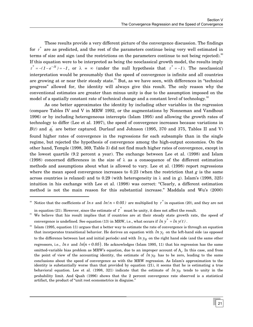These results provide a very different picture of the convergence discussion. The findings for  $\tau^*$  are as predicted, and the rest of the parameters continue being very well estimated in terms of size and sign (and the restrictions on the parameters continue to not being rejected).<sup>[30](#page-26-0)</sup> If this equation were to be interpreted as being the neoclassical growth model, the results imply  $\tau^* = -(1 - e^{-\lambda t}) = -1$ , or  $\lambda = \infty$  (under the null hypothesis that  $\tau^* = -1$ ). The neoclassical interpretation would be presumably that the speed of convergence is infinite and all countries are growing at or near their steady state.<sup>31</sup> But, as we have seen, with differences in "technical progress" allowed for, the identity will always give this result. The only reason why the conventional estimates are greater than minus unity is due to the assumption imposed on the model of a spatially constant rate of technical change and a constant level of technology.<sup>[32](#page-26-2)</sup>

As one better approximates the identity by including other variables in the regression (compare Tables IV and V in MRW 1992, or the augmentations by Nonneman and Vandhout 1996) or by including heterogeneous intercepts (Islam 1995) and allowing the growth rates of technology to differ (Lee et al. 1997), the speed of convergence increases because variations in  $B(t)$  and  $\phi_t^{'}$  are better captured. Durlauf and Johnson (1995, 370 and 375, Tables II and V) found higher rates of convergence in the regressions for each subsample than in the single regime, but rejected the hypothesis of convergence among the high-output economies. On the other hand, Temple (1998, 369, Table 3) did not find much higher rates of convergence, except in the lowest quartile (9.2 percent a year). The exchange between Lee et al. (1998) and Islam (1998) concerned differences in the size of  $\lambda$  as a consequence of the different estimation methods and assumptions about what is allowed to vary. Lee et al. (1998) report regressions where the mean speed convergence increases to 0.23 (when the restriction that *g* is the same across countries is relaxed) and to 0.29 (with heterogeneity in  $\lambda$  and in g). Islam's (1998, 325) intuition in his exchange with Lee et al. (1998) was correct: "Clearly, a different estimation method is not the main reason for this substantial increase." Maddala and Wu's (2000)

j

<span id="page-26-0"></span><sup>&</sup>lt;sup>30</sup> Notice that the coefficients of ln *s* and  $ln(n+0.05)$  are multiplied by  $\tau^*$  in equation (20), and they are not in equation (21). However, since the estimate of  $\tau^*$  must be unity, it does not affect the result.

<span id="page-26-1"></span><sup>&</sup>lt;sup>31</sup> We believe that his result implies that if countries are at their steady state growth rate, the speed of convergence is undefined. See equation (13) in MRW, i.e., what occurs if  $\ln y^* = \ln y(t)$ .

<span id="page-26-2"></span>Islam (1995, equation 11) argues that a better way to estimate the rate of convergence is through an equation that incorporates transitional behavior. He derives an equation with  $\ln y_t$  on the left-hand side (as opposed to the difference between last and initial periods) and with  $\ln y_0$  on the right hand side (and the same other regressors, i.e.,  $ln s$  and  $ln(n + 0.05)$ . He acknowledges (Islam 1995, 11) that his regression has the same omitted-variable bias problem as MRW's equation, due to an improper account of  $A_0$ . In this case, and from the point of view of the accounting identity, the estimate of  $ln y_0$  has to be zero, leading to the same conclusions about the speed of convergence as with the MRW regression. As Islam's approximation to the identity is substantially worse than that provided by equation (21), it seems that he is estimating a true behavioral equation. Lee et al. (1998, 321) indicate that the estimate of  $ln y_0$  tends to unity in the probability limit. And Quah (1996) shows that the 2 percent convergence rate observed is a statistical artifact, the product of "unit root econometrics in disguise."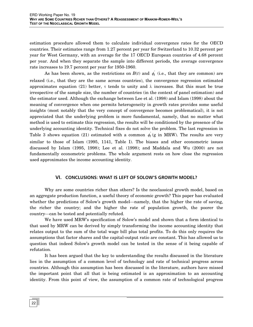<span id="page-27-0"></span>estimation procedure allowed them to calculate individual convergence rates for the OECD countries. Their estimates range from 1.27 percent per year for Switzerland to 10.32 percent per year for West Germany, with an average for the 17 OECD European countries of 4.68 percent per year. And when they separate the sample into different periods, the average convergence rate increases to 19.7 percent per year for 1950-1960.

As has been shown, as the restrictions on  $B(t)$  and  $\phi_t^{'}$  (i.e., that they are common) are relaxed (i.e., that they are the same across countries), the convergence regression estimated approximates equation (21) better,  $\tau$  tends to unity and  $\lambda$  increases. But this must be true irrespective of the sample size, the number of countries (in the context of panel estimation) and the estimator used. Although the exchange between Lee et al. (1998) and Islam (1998) about the meaning of convergence when one permits heterogeneity in growth rates provides some useful insights (most notably that the very concept of convergence becomes problematical), it is not appreciated that the underlying problem is more fundamental, namely, that no matter what method is used to estimate this regression, the results will be conditioned by the presence of the underlying accounting identity. Technical fixes do not solve the problem. The last regression in Table 3 shows equation (21) estimated with a common  $\phi_t$ <sup>'</sup> (g in MRW). The results are very similar to those of Islam (1995, 1141, Table I). The biases and other econometric issues discussed by Islam (1995, 1998); Lee et al. (1998); and Maddala and Wu (2000) are not fundamentally econometric problems. The whole argument rests on how close the regression used approximates the income accounting identity.

# **VI. CONCLUSIONS: WHAT IS LEFT OF SOLOW'S GROWTH MODEL?**

Why are some countries richer than others? Is the neoclassical growth model, based on an aggregate production function, a useful theory of economic growth? This paper has evaluated whether the predictions of Solow's growth model—namely, that the higher the rate of saving, the richer the country; and the higher the rate of population growth, the poorer the country—can be tested and potentially refuted.

We have used MRW's specification of Solow's model and shown that a form identical to that used by MRW can be derived by simply transforming the income accounting identity that relates output to the sum of the total wage bill plus total profits. To do this only requires the assumptions that factor shares and the capital-output ratio are constant. This has allowed us to question that indeed Solow's growth model can be tested in the sense of it being capable of refutation.

It has been argued that the key to understanding the results discussed in the literature lies in the assumption of a common level of technology and rate of technical progress across countries. Although this assumption has been discussed in the literature, authors have missed the important point that all that is being estimated is an approximation to an accounting identity. From this point of view, the assumption of a common rate of technological progress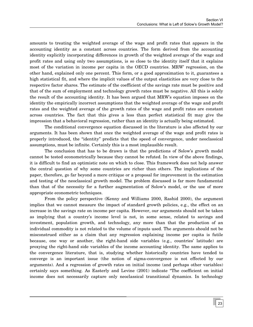amounts to treating the weighted average of the wage and profit rates that appears in the accounting identity as a constant across countries. The form derived from the accounting identity explicitly incorporating differences in growth of the weighted average of the wage and profit rates and using only two assumptions, is so close to the identity itself that it explains most of the variation in income per capita in the OECD countries. MRW' regression, on the other hand, explained only one percent. This form, or a good approximation to it, guarantees a high statistical fit, and where the implicit values of the output elasticities are very close to the respective factor shares. The estimate of the coefficient of the savings rate must be positive and that of the sum of employment and technology growth rates must be negative. All this is solely the result of the accounting identity. It has been argued that MRW's equation imposes on the identity the empirically incorrect assumptions that the weighted average of the wage and profit rates and the weighted average of the growth rates of the wage and profit rates are constant across countries. The fact that this gives a less than perfect statistical fit may give the impression that a behavioral regression, rather than an identity is actually being estimated.

The conditional convergence equation discussed in the literature is also affected by our arguments. It has been shown that once the weighted average of the wage and profit rates is properly introduced, the "identity" predicts that the speed of convergence, under neoclassical assumptions, must be infinite. Certainly this is a most implausible result.

The conclusion that has to be drawn is that the predictions of Solow's growth model cannot be tested econometrically because they cannot be refuted. In view of the above findings, it is difficult to find an optimistic note on which to close. This framework does not help answer the central question of why some countries are richer than others. The implications of the paper, therefore, go far beyond a mere critique or a proposal for improvement in the estimation and testing of the neoclassical growth model. The problem discussed is far more fundamental than that of the necessity for a further augmentation of Solow's model, or the use of more appropriate econometric techniques.

From the policy perspective (Kenny and Williams 2000, Rashid 2000), the argument implies that we cannot measure the impact of standard growth policies, e.g., the effect on an increase in the savings rate on income per capita. However, our arguments should not be taken as implying that a country's income level is not, in some sense, related to savings and investment, population growth, and technology, any more than that the production of an individual commodity is not related to the volume of inputs used. The arguments should not be misconstrued either as a claim that any regression explaining income per capita is futile because, one way or another, the right-hand side variables (e.g., countries' latitude) are proxying the right-hand side variables of the income accounting identity. The same applies to the convergence literature, that is, studying whether historically countries have tended to converge is an important issue (the notion of sigma-convergence is not effected by our arguments). And a regression of growth rates on initial income (and perhaps other variables) certainly says something. As Easterly and Levine (2001) indicate "The coefficient on initial income does not necessarily capture only neoclassical transitional dynamics. In technology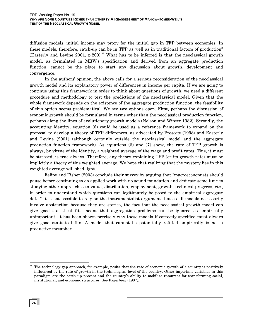diffusion models, initial income may proxy for the initial gap in TFP between economies. In these models, therefore, catch-up can be in TFP as well as in traditional factors of production" (Easterly and Levine 2001, p.209).<sup>33</sup> What has to be inferred is that the neoclassical growth model, as formulated in MRW's specification and derived from an aggregate production function, cannot be the place to start any discussion about growth, development and convergence.

In the authors' opinion, the above calls for a serious reconsideration of the neoclassical growth model and its explanatory power of differences in income per capita. If we are going to continue using this framework in order to think about questions of growth, we need a different procedure and methodology to test the predictions of the neoclassical model. Given that the whole framework depends on the existence of the aggregate production function, the feasibility of this option seems problematical. We see two options open. First, perhaps the discussion of economic growth should be formulated in terms other than the neoclassical production function, perhaps along the lines of evolutionary growth models (Nelson and Winter 1982). Secondly, the accounting identity, equation (6) could be used as a reference framework to expand on the proposal to develop a theory of TFP differences, as advocated by Prescott (1998) and Easterly and Levine (2001) (although certainly outside the neoclassical model and the aggregate production function framework). As equations (6) and (7) show, the rate of TFP growth is always, by virtue of the identity, a weighted average of the wage and profit rates. This, it must be stressed, is true always. Therefore, any theory explaining TFP (or its growth rate) must be implicitly a theory of this weighted average. We hope that realizing that the mystery lies in this weighted average will shed light.

Felipe and Fisher (2003) conclude their survey by arguing that "macroeconomists should pause before continuing to do applied work with no sound foundation and dedicate some time to studying other approaches to value, distribution, employment, growth, technical progress, etc., in order to understand which questions can legitimately be posed to the empirical aggregate data." It is not possible to rely on the instrumentalist argument that as all models necessarily involve abstraction because they are stories, the fact that the neoclassical growth model can give good statistical fits means that aggregation problems can be ignored as empirically unimportant. It has been shown precisely why these models if correctly specified must always give good statistical fits. A model that cannot be potentially refuted empirically is not a productive metaphor.

<span id="page-29-0"></span> <sup>33</sup> The technology gap approach, for example, posits that the rate of economic growth of a country is positively influenced by the rate of growth in the technological level of the country. Other important variables in this paradigm are the catch up process and the country's ability to mobilize resources for transforming social, institutional, and economic structures. See Fagerberg (1987).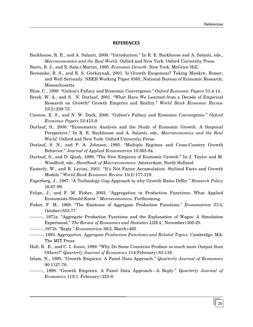#### **REFERENCES**

- <span id="page-30-0"></span>Backhouse, R. E., and A. Salanti, 2000. "Introduction." In R. E. Backhouse and A. Salanti, eds., *Macroeconomics and the Real World.* Oxford and New York: Oxford University Press.
- Barro, R. J., and X. Sala-i-Martin, 1995. *Economic Growth*. New York: McGraw Hill.
- Bernanke, B. S., and R. S. Gürkaynak, 2001. Is Growth Exogenous? Taking Mankiw, Romer, and Weil Seriously. NBER Working Paper 8365, National Bureau of Economic Research, Massachusetts.
- Bliss, C., 1999. "Galton's Fallacy and Economic Convergence." *Oxford Economic Papers* 51:4-14.
- Brock, W. A., and S. N. Durlauf, 2001. "What Have We Learned from a Decade of Empirical Research on Growth? Growth Empirics and Reality." *World Bank Economic Review* 15(2):229-72.
- Cannon, E. S., and N. W. Duck, 2000. "Galton's Fallacy and Economic Convergence." *Oxford Economic Papers* 52:415-9.
- Durlauf, S., 2000. "Econometric Analysis and the Study of Economic Growth: A Sceptical Perspective." In R. E. Backhouse and A. Salanti, eds., *Macroeconomics and the Real World*. Oxford and New York: Oxford University Press.
- Durlauf, S. N., and P. A. Johnson, 1995. "Multiple Regimes and Cross-Country Growth Behavior." *Journal of Applied Econometrics* 10:365-84.
- Durlauf, S., and D. Quah, 1999. "The New Empirics of Economic Growth." In J. Taylor and M. Woodford, eds., *Handbook of Macroeconomics*. Amsterdam: North Holland.
- Easterly, W., and R. Levine, 2001. "It's Not Factor Accumulation: Stylized Facts and Growth Models." *World Bank Economic Review* 15(2):177-219.
- Fagerberg, J., 1987. "A Technology Gap Approach to why Growth Rates Differ." *Research Policy* 16:87-99.
- Felipe, J., and F. M. Fisher, 2003. "Aggregation in Production Functions: What Applied Economists Should Know." *Metroeconomica*. Forthcoming.
- Fisher, F. M., 1969. "The Existence of Aggregate Production Functions." *Econometrica* 37(4, October):553-77.
- , 1971a. "Aggregate Production Functions and the Explanation of Wages: A Simulation Experiment." *The Review of Economics and Statistics* LIII(4, November):305-25.
- , 1971b. "Reply." *Econometrica* 39(2, March):405.
- , 1993. *Aggregation. Aggregate Production Functions and Related Topics*. Cambridge, MA: The MIT Press.
- Hall, R. E., and C. I. Jones, 1999. "Why Do Some Countries Produce so much more Output than Others?" *Quarterly Journal of Economics* 114(February):83-116.
- Islam, N., 1995. "Growth Empirics: A Panel Data Approach." *Quarterly Journal of Economics* 90:1127-70.
- 5, 1998. "Growth Empirics: A Panel Data Approach—A Reply." *Quarterly Journal of Economics* 113(1, February):325-9.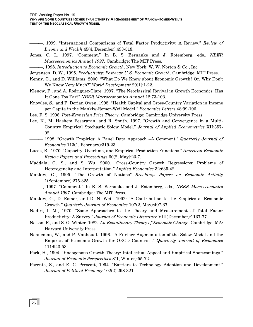- , 1999. "International Comparisons of Total Factor Productivity: A Review." *Review of Income and Wealth* 45(4, December):493-518.
- Jones, C. I., 1997. "Comment." In B. S. Bernanke and J. Rotemberg, eds., *NBER Macroeconomics Annual 1997.* Cambridge: The MIT Press.
- , 1998. *Introduction to Economic Growth*. New York: W. W. Norton & Co., Inc.
- Jorgenson, D. W., 1995. *Productivity: Post-war U.S. Economic Growth*. Cambridge: MIT Press.
- Kenny, C., and D. Williams, 2000. "What Do We Know about Economic Growth? Or, Why Don't We Know Very Much?" *World Development* 29(1):1-22.
- Klenow, P., and A. Rodriguez-Clare, 1997. "The Neoclassical Revival in Growth Economics: Has It Gone Too Far?" *NBER Macroeconomics Annual* 12:73-103.
- Knowles, S., and P. Dorian Owen, 1995. "Health Capital and Cross-Country Variation in Income per Capita in the Mankiw-Romer-Weil Model." *Economics Letters* 48:99-106.
- Lee, F. S. 1998. *Post-Keynesian Price Theory*. Cambridge: Cambridge University Press.
- Lee, K., M. Hashem Pesararan, and R. Smith, 1997. "Growth and Convergence in a Multi-Country Empirical Stochastic Solow Model." *Journal of Applied Econometrics* XII:357- 92.
- 1998. "Growth Empirics: A Panel Data Approach –A Comment." *Quarterly Journal of Economics* 113(1, February):319-23.
- Lucas, R., 1970. "Capacity, Overtime, and Empirical Production Functions." *American Economic Review Papers and Proceedings* 60(2, May):23-7.
- Maddala, G. S., and S. Wu, 2000. "Cross-Country Growth Regressions: Problems of Heterogeneity and Interpretation." *Applied Economics* 32:635-42.
- Mankiw, G., 1995. "The Growth of Nations" *Brookings Papers on Economic Activity* 1(September):275-325.
- , 1997. "Comment." In B. S. Bernanke and J. Rotemberg, eds., *NBER Macroeconomics Annual 1997.* Cambridge: The MIT Press.
- Mankiw, G., D. Romer, and D. N. Weil. 1992: "A Contribution to the Empirics of Economic Growth." *Quarterly Journal of Economics* 107(2, May):407-37.
- Nadiri, I. M., 1970. "Some Approaches to the Theory and Measurement of Total Factor Productivity: A Survey." *Journal of Economic Literature* VIII(December):1137-77.
- Nelson, R., and S. G. Winter. 1982. *An Evolutionary Theory of Economic Change*. Cambridge, MA: Harvard University Press.
- Nonneman, W., and P. Vanhoudt. 1996. "A Further Augmentation of the Solow Model and the Empirics of Economic Growth for OECD Countries." *Quarterly Journal of Economics* 111:943-53.
- Pack, H., 1994. "Endogenous Growth Theory: Intellectual Appeal and Empirical Shortcomings." *Journal of Economic Perspectives* 8(1, Winter):55-72.
- Parente, S., and E. C. Prescott, 1994. "Barriers to Technology Adoption and Development." *Journal of Political Economy* 102(2):298-321.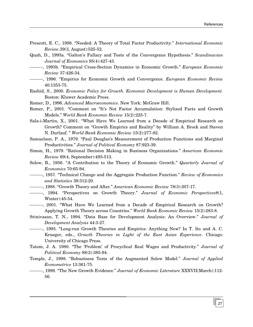- Prescott, E. C., 1998. "Needed: A Theory of Total Factor Productivity." *International Economic Review*.39(3, August):525-52.
- Quah, D., 1993a. "Galton's Fallacy and Tests of the Convergence Hypothesis." *Scandinavian Journal of Economics* 95(4):427-43.
- , 1993b. "Empirical Cross-Section Dynamics in Economic Growth." *European Economic Review* 37:426-34.
- , 1996. "Empirics for Economic Growth and Convergence. *European Economic Review* 40:1353-75.
- Rashid, S., 2000. *Economic Policy for Growth. Economic Development is Human Development*. Boston: Kluwer Academic Press.
- Romer, D., 1996. *Advanced Macroeconomics*. New York: McGraw Hill.
- Romer, P., 2001. "Comment on "It's Not Factor Accumulation: Stylized Facts and Growth Models." *World Bank Economic Review* 15(2):225-7.
- Sala-i-Martin, X., 2001. "What Have We Learned from a Decade of Empirical Research on Growth? Comment on "Growth Empirics and Reality" by William A. Brock and Steven N. Durlauf. " *World Bank Economic Review* 15(2):277-82.
- Samuelson, P. A., 1979. "Paul Douglas's Measurement of Production Functions and Marginal Productivities." *Journal of Political Economy* 87:923-39.
- Simon, H., 1979. "Rational Decision Making in Business Organizations." *American Economic Review* 69(4, September):493-513.
- Solow, R., 1956. "A Contribution to the Theory of Economic Growth." *Quarterly Journal of Economics* 70:65-94.
- , 1957. "Technical Change and the Aggregate Production Function." *Review of Economics and Statistics* 39:312-20.
- , 1988. "Growth Theory and After." *American Economic Review* 78(3):307-17.
- , 1994. "Perspectives on Growth Theory." *Journal of Economic Perspectives*8(1, Winter):45-54.
- , 2001. "What Have We Learned from a Decade of Empirical Research on Growth? Applying Growth Theory across Countries." *World Bank Economic Review* 15(2):283-8.
- Srinivasan, T. N., 1994. "Data Base for Development Analysis: An Overview." *Journal of Development Analysis* 44:3-27.
- , 1995. "Long-run Growth Theories and Empirics: Anything New? In T. Ito and A. C. Krueger, eds., *Growth Theories in Light of the East Asian Experience*. Chicago: University of Chicago Press.
- Tatom, J. A. 1980. "The 'Problem' of Procyclical Real Wages and Productivity." *Journal of Political Economy* 88(2):385-94.
- Temple, J., 1998. "Robustness Tests of the Augmented Solow Model." *Journal of Applied Econometrics* 13:361-75.
- , 1999. "The New Growth Evidence." *Journal of Economic Literature* XXXVII(March):112- 56.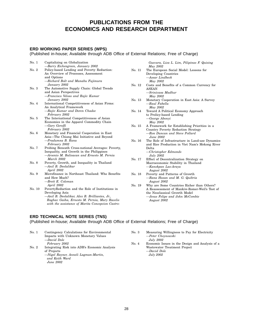# **PUBLICATIONS FROM THE ECONOMICS AND RESEARCH DEPARTMENT**

#### **ERD WORKING PAPER SERIES (WPS)**

(Published in-house; Available through ADB Office of External Relations; Free of Charge)

| No. 1  | Capitalizing on Globalization                     |
|--------|---------------------------------------------------|
|        | -Barry Eichengreen, January 2002                  |
| No. 2  | Policy-based Lending and Poverty Reduction:       |
|        | An Overview of Processes, Assessment              |
|        | and Options                                       |
|        | -Richard Bolt and Manabu Fujimura                 |
|        | January 2002                                      |
| No. 3  | The Automotive Supply Chain: Global Trends        |
|        | and Asian Perspectives                            |
|        | -Francisco Veloso and Rajiv Kumar                 |
|        | January 2002                                      |
| No. 4  | International Competitiveness of Asian Firms:     |
|        | An Analytical Framework                           |
|        | -Rajiv Kumar and Doren Chadee                     |
|        | February 2002                                     |
| No. 5  | The International Competitiveness of Asian        |
|        | Economies in the Apparel Commodity Chain          |
|        | —Gary Gereffi                                     |
|        | February 2002                                     |
| No. 6  | Monetary and Financial Cooperation in East        |
|        | Asia—The Chiang Mai Initiative and Beyond         |
|        | -Pradumna B. Rana                                 |
|        | February 2002                                     |
| No. 7  | Probing Beneath Cross-national Averages: Poverty, |
|        | Inequality, and Growth in the Philippines         |
|        | -Arsenio M. Balisacan and Ernesto M. Pernia       |
|        | March 2002                                        |
| No. 8  | Poverty, Growth, and Inequality in Thailand       |
|        | -Anil B. Deolalikar                               |
|        | April 2002                                        |
| No. 9  | Microfinance in Northeast Thailand: Who Benefits  |
|        | and How Much?                                     |
|        | -Brett E. Coleman                                 |
|        | April 2002                                        |
| No. 10 | PovertyReduction and the Role of Institutions in  |
|        | Developing Asia                                   |
|        | -Anil B. Deolalikar, Alex B. Brilliantes, Jr.,    |

*Raghav Gaiha, Ernesto M. Pernia, Mary Racelis with the assistance of Marita Concepcion Castro-*

#### **ERD TECHNICAL NOTE SERIES (TNS)**

(Published in-house; Available through ADB Office of External Relations; Free of Charge)

- No. 1 Contingency Calculations for Environmental Impacts with Unknown Monetary Values —*David Dole February 2002* No. 2 Integrating Risk into ADB's Economic Analysis
- of Projects *—Nigel Rayner, Anneli Lagman-Martin,*
	- *and Keith Ward June 2002*

|        | May 2002                                        |
|--------|-------------------------------------------------|
| No. 11 | The European Social Model: Lessons for          |
|        | Developing Countries                            |
|        | $-$ Assar Lindbeck                              |
|        | May 2002                                        |
| No. 12 | Costs and Benefits of a Common Currency for     |
|        | ASEAN                                           |
|        | —Srinivasa Madhur                               |
|        | May 2002                                        |
| No. 13 | Monetary Cooperation in East Asia: A Survey     |
|        | —Raul Fabella                                   |
|        | May 2002                                        |
| No. 14 | Toward A Political Economy Approach             |
|        | to Prolicy-based Lending                        |
|        | —George Abonyi                                  |
|        | May 2002                                        |
| No. 15 | A Framework for Establishing Priorities in a    |
|        | Country Poverty Reduction Strategy              |
|        | -Ron Duncan and Steve Pollard                   |
|        | June 2002                                       |
| No. 16 | The Role of Infrastructure in Land-use Dynamics |
|        | and Rice Production in Viet Nam's Mekong River  |

*Guevara, Liza L. Lim, Pilipinas F. Quising*

- Delta *—Christopher Edmonds July 2002*
- No. 17 Effect of Decentralization Strategy on Macroeconomic Stability in Thailand *—Kanokpan Lao-Araya August 2002*
- No. 18 Poverty and Patterns of Growth *—Rana Hasan and M. G. Quibria August 2002*
- No. 19 Why are Some Countries Richer than Others? A Reassessment of Mankiw-Romer-Weil's Test of the Neoclassical Growth Model *—Jesus Felipe and John McCombie August 2002*
- No. 3 Measuring Willingness to Pay for Electricity *—Peter Choynowski July 2002*
- No. 4 Economic Issues in the Design and Analysis of a Wastewater Treatment Project *—David Dole July 2002*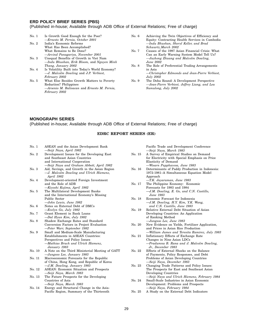#### **ERD POLICY BRIEF SERIES (PBS)**

### (Published in-house; Available through ADB Office of External Relations; Free of charge)

- No. 1 Is Growth Good Enough for the Poor? *—Ernesto M. Pernia, October 2001* No. 2 India's Economic Reforms What Has Been Accomplished? What Remains to Be Done? *—Arvind Panagariya, November 2001* No. 3 Unequal Benefits of Growth in Viet Nam
- *—Indu Bhushan, Erik Bloom,* and *Nguyen Minh Thang, January 2002*
- No. 4 Is Volatility Built into Today's World Economy? *—J. Malcolm Dowling* and *J.P. Verbiest, February 2002*
- No. 5 What Else Besides Growth Matters to Poverty Reduction? Philippines *—Arsenio M. Balisacan* and *Ernesto M. Pernia, February 2002*
- No. 6 Achieving the Twin Objectives of Efficiency and Equity: Contracting Health Services in Cambodia *—Indu Bhushan, Sheryl Keller, and Brad Schwartz,March 2002*
- No. 7 Causes of the 1997 Asian Financial Crisis: What Can an Early Warning System Model Tell Us? *—Juzhong Zhuang and Malcolm Dowling, June 2002*
- No. 8 The Role of Preferential Trading Arrangements in Asia *—Christopher Edmonds and Jean-Pierre Verbiest, July 2002*
- No. 9 The Doha Round: A Development Perspective *—Jean-Pierre Verbiest, Jeffrey Liang, and Lea Sumulong, July 2002*

Pacific Trade and Development Conference

#### **MONOGRAPH SERIES**

(Published in-house; Available through ADB Office of External Relations; Free of charge)

#### **EDRC REPORT SERIES (ER)**

| No. 1  | ASEAN and the Asian Development Bank<br>—Seiji Naya, April 1982                                                                                                    |
|--------|--------------------------------------------------------------------------------------------------------------------------------------------------------------------|
| No. 2  | Development Issues for the Developing East<br>and Southeast Asian Countries<br>and International Cooperation<br>-Seiji Naya and Graham Abbott, April 1982          |
| No.3   | Aid, Savings, and Growth in the Asian Region<br>-J. Malcolm Dowling and Ulrich Hiemenz,<br>April 1982                                                              |
| No. 4  | Development-oriented Foreign Investment<br>and the Role of ADB<br>—Kiyoshi Kojima, April 1982                                                                      |
| No. 5  | The Multilateral Development Banks<br>and the International Economy's Missing<br>Public Sector<br>-John Lewis, June 1982                                           |
| No. 6  | Notes on External Debt of DMCs<br>-Evelyn Go, July 1982                                                                                                            |
| No. 7  | Grant Element in Bank Loans<br>-Dal Hyun Kim, July 1982                                                                                                            |
| No. 8  | Shadow Exchange Rates and Standard<br>Conversion Factors in Project Evaluation<br>-Peter Warr, September 1982                                                      |
| No. 9  | Small and Medium-Scale Manufacturing<br>Establishments in ASEAN Countries:<br>Perspectives and Policy Issues<br>-Mathias Bruch and Ulrich Hiemenz,<br>January 1983 |
| No. 10 | A Note on the Third Ministerial Meeting of GATT<br>-Jungsoo Lee, January 1983                                                                                      |
| No. 11 | Macroeconomic Forecasts for the Republic<br>of China, Hong Kong, and Republic of Korea<br>-J.M. Dowling, January 1983                                              |
| No. 12 | <b>ASEAN: Economic Situation and Prospects</b><br>-Seiji Naya, March 1983                                                                                          |
| No. 13 | The Future Prospects for the Developing<br>Countries of Asia<br>—Seiji Naya, March 1983                                                                            |
| No. 14 | Energy and Structural Change in the Asia-<br>Pacific Region, Summary of the Thirteenth                                                                             |

—*Seiji Naya, March 1983* No. 15 A Survey of Empirical Studies on Demand for Electricity with Special Emphasis on Price Elasticity of Demand —*Wisarn Pupphavesa, June 1983* No. 16 Determinants of Paddy Production in Indonesia: 1972-1981–A Simultaneous Equation Model Approach —*T.K. Jayaraman, June 1983* No. 17 The Philippine Economy: Economic Forecasts for 1983 and 1984 —*J.M. Dowling, E. Go, and C.N. Castillo, June 1983* No. 18 Economic Forecast for Indonesia —*J.M. Dowling, H.Y. Kim, Y.K. Wang, and C.N. Castillo, June 1983* No. 19 Relative External Debt Situation of Asian Developing Countries: An Application of Ranking Method —*Jungsoo Lee, June 1983* No. 20 New Evidence on Yields, Fertilizer Application, and Prices in Asian Rice Production —*William James and Teresita Ramirez, July 1983* No. 21 Inflationary Effects of Exchange Rate Changes in Nine Asian LDCs —*Pradumna B. Rana and J. Malcolm Dowling, Jr., December 1983* No. 22 Effects of External Shocks on the Balance of Payments, Policy Responses, and Debt Problems of Asian Developing Countries —*Seiji Naya, December 1983* No. 23 Changing Trade Patterns and Policy Issues: The Prospects for East and Southeast Asian Developing Countries —*Seiji Naya and Ulrich Hiemenz, February 1984*

- No. 24 Small-Scale Industries in Asian Economic Development: Problems and Prospects —*Seiji Naya, February 1984*
- No. 25 A Study on the External Debt Indicators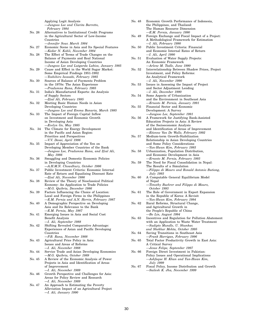|        | Applying Logit Analysis<br>-Jungsoo Lee and Clarita Barretto,                                 |
|--------|-----------------------------------------------------------------------------------------------|
|        | February 1984                                                                                 |
| No. 26 | Alternatives to Institutional Credit Programs<br>in the Agricultural Sector of Low-Income     |
|        | Countries                                                                                     |
| No. 27 | —Jennifer Sour, March 1984<br>Economic Scene in Asia and Its Special Features                 |
| No. 28 | -Kedar N. Kohli, November 1984<br>The Effect of Terms of Trade Changes on the                 |
|        | Balance of Payments and Real National                                                         |
|        | Income of Asian Developing Countries                                                          |
| No. 29 | -Jungsoo Lee and Lutgarda Labios, January 1985<br>Cause and Effect in the World Sugar Market: |
|        | Some Empirical Findings 1951-1982<br>-Yoshihiro Iwasaki, February 1985                        |
| No. 30 | Sources of Balance of Payments Problem                                                        |
|        | in the 1970s: The Asian Experience                                                            |
| No. 31 | —Pradumna Rana, February 1985<br>India's Manufactured Exports: An Analysis                    |
|        | of Supply Sectors                                                                             |
| No. 32 | -Ifzal Ali, February 1985<br>Meeting Basic Human Needs in Asian                               |
|        | Developing Countries                                                                          |
| No. 33 | -Jungsoo Lee and Emma Banaria, March 1985<br>The Impact of Foreign Capital Inflow             |
|        | on Investment and Economic Growth                                                             |
|        | in Developing Asia<br>—Evelyn Go, May 1985                                                    |
| No. 34 | The Climate for Energy Development                                                            |
|        | in the Pacific and Asian Region:<br>Priorities and Perspectives                               |
|        | -V.V. Desai, April 1986                                                                       |
| No. 35 | Impact of Appreciation of the Yen on<br>Developing Member Countries of the Bank               |
|        | —Jungsoo Lee, Pradumna Rana, and Ifzal Ali,                                                   |
| No. 36 | May 1986<br>Smuggling and Domestic Economic Policies                                          |
|        | in Developing Countries                                                                       |
| No. 37 | -A.H.M.N. Chowdhury, October 1986<br>Public Investment Criteria: Economic Internal            |
|        | Rate of Return and Equalizing Discount Rate                                                   |
| No. 38 | -Ifzal Ali, November 1986<br>Review of the Theory of Neoclassical Political                   |
|        | Economy: An Application to Trade Policies                                                     |
| No. 39 | —M.G. Quibria, December 1986<br>Factors Influencing the Choice of Location:                   |
|        | Local and Foreign Firms in the Philippines                                                    |
| No. 40 | -E.M. Pernia and A.N. Herrin, February 1987<br>A Demographic Perspective on Developing        |
|        | Asia and Its Relevance to the Bank                                                            |
| No. 41 | —E.M. Pernia, May 1987<br>Emerging Issues in Asia and Social Cost                             |
|        | Benefit Analysis                                                                              |
| No. 42 | —I. Ali, September 1988<br>Shifting Revealed Comparative Advantage:                           |
|        | Experiences of Asian and Pacific Developing                                                   |
|        | Countries<br>-P.B. Rana, November 1988                                                        |
| No. 43 | Agricultural Price Policy in Asia:                                                            |
|        | Issues and Areas of Reforms<br>-I. Ali, November 1988                                         |
| No. 44 | Service Trade and Asian Developing Economies                                                  |
| No. 45 | -M.G. Quibria, October 1989<br>A Review of the Economic Analysis of Power                     |
|        | Projects in Asia and Identification of Areas                                                  |
|        | of Improvement<br>-I. Ali, November 1989                                                      |
| No. 46 | Growth Perspective and Challenges for Asia:                                                   |
|        | Areas for Policy Review and Research<br>-I. Ali, November 1989                                |
| No. 47 | An Approach to Estimating the Poverty                                                         |
|        | Alleviation Impact of an Agricultural Project<br>-I. Ali, January 1990                        |
|        |                                                                                               |

| No. 48 | Economic Growth Performance of Indonesia,                                                     |
|--------|-----------------------------------------------------------------------------------------------|
|        | the Philippines, and Thailand:<br>The Human Resource Dimension                                |
|        | -E.M. Pernia, January 1990                                                                    |
| No. 49 | Foreign Exchange and Fiscal Impact of a Project:<br>A Methodological Framework for Estimation |
| No. 50 | —I. Ali, February 1990<br>Public Investment Criteria: Financial                               |
|        | and Economic Internal Rates of Return<br>-I. Ali, April 1990                                  |
| No. 51 | Evaluation of Water Supply Projects:                                                          |
|        | An Economic Framework                                                                         |
|        | -Arlene M. Tadle, June 1990                                                                   |
| No. 52 | Interrelationship Between Shadow Prices, Project                                              |
|        | Investment, and Policy Reforms:<br>An Analytical Framework                                    |
|        | -I. Ali, November 1990                                                                        |
| No. 53 | Issues in Assessing the Impact of Project                                                     |
|        | and Sector Adjustment Lending                                                                 |
|        | -I. Ali, December 1990                                                                        |
| No. 54 | Some Aspects of Urbanization                                                                  |
|        | and the Environment in Southeast Asia                                                         |
| No. 55 | -Ernesto M. Pernia, January 1991<br>Financial Sector and Economic                             |
|        | Development: A Survey                                                                         |
|        | -Jungsoo Lee, September 1991                                                                  |
| No. 56 | A Framework for Justifying Bank-Assisted                                                      |
|        | Education Projects in Asia: A Review                                                          |
|        | of the Socioeconomic Analysis                                                                 |
|        | and Identification of Areas of Improvement                                                    |
|        | -Etienne Van De Walle, February 1992                                                          |
| No. 57 | Medium-term Growth-Stabilization<br>Relationship in Asian Developing Countries                |
|        | and Some Policy Considerations                                                                |
|        | -Yun-Hwan Kim, February 1993                                                                  |
| No. 58 | Urbanization, Population Distribution,                                                        |
|        | and Economic Development in Asia                                                              |
|        | -Ernesto M. Pernia, February 1993                                                             |
| No. 59 | The Need for Fiscal Consolidation in Nepal:                                                   |
|        | The Results of a Simulation<br>-Filippo di Mauro and Ronald Antonio Butiong,                  |
|        | July 1993                                                                                     |
| No. 60 | A Computable General Equilibrium Model                                                        |
|        | of Nepal                                                                                      |
|        | -Timothy Buehrer and Filippo di Mauro,                                                        |
|        | October 1993                                                                                  |
| No. 61 | The Role of Government in Export Expansion                                                    |
|        | in the Republic of Korea: A Revisit                                                           |
| No. 62 | -Yun-Hwan Kim, February 1994<br>Rural Reforms, Structural Change,                             |
|        | and Agricultural Growth in                                                                    |
|        | the People's Republic of China                                                                |
|        | -Bo Lin, August 1994                                                                          |
| No. 63 | Incentives and Regulation for Pollution Abatement                                             |
|        | with an Application to Waste Water Treatment                                                  |
|        | -Sudipto Mundle, U. Shankar,                                                                  |
|        | and Shekhar Mehta, October 1995                                                               |

- No. 64 Saving Transitions in Southeast Asia —*Frank Harrigan, February 1996*
- No. 65 Total Factor Productivity Growth in East Asia: A Critical Survey
- *—Jesus Felipe, September 1997* No. 66 Foreign Direct Investment in Pakistan: Policy Issues and Operational Implications
	- *—Ashfaque H. Khan and Yun-Hwan Kim, July 1999*
- No. 67 Fiscal Policy, Income Distribution and Growth *—Sailesh K. Jha, November 1999*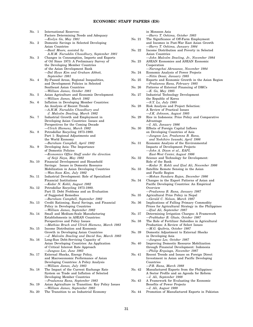# **ECONOMIC STAFF PAPERS (ES)**

| No.    | 1              | International Reserves:<br>Factors Determining Needs and Adequacy                         |
|--------|----------------|-------------------------------------------------------------------------------------------|
|        |                | -Evelyn Go, May 1981                                                                      |
| No.    | $\overline{2}$ | Domestic Savings in Selected Developing                                                   |
|        |                | Asian Countries                                                                           |
|        |                | -Basil Moore, assisted by                                                                 |
|        |                | A.H.M. Nuruddin Chowdhury, September 1981                                                 |
| No.    | 3              | Changes in Consumption, Imports and Exports<br>of Oil Since 1973: A Preliminary Survey of |
|        |                | the Developing Member Countries                                                           |
|        |                | of the Asian Development Bank                                                             |
|        |                | -Dal Hyun Kim and Graham Abbott,                                                          |
|        |                | September 1981                                                                            |
| No.    | 4              | By-Passed Areas, Regional Inequalities,                                                   |
|        |                | and Development Policies in Selected                                                      |
|        |                | Southeast Asian Countries                                                                 |
|        |                | —William James, October 1981                                                              |
| No.    | 5              | Asian Agriculture and Economic Development                                                |
| No.    | 6              | —William James, March 1982                                                                |
|        |                | Inflation in Developing Member Countries:<br>An Analysis of Recent Trends                 |
|        |                | -A.H.M. Nuruddin Chowdhury and                                                            |
|        |                | J. Malcolm Dowling, March 1982                                                            |
| No.    | 7              | Industrial Growth and Employment in                                                       |
|        |                | Developing Asian Countries: Issues and                                                    |
|        |                | Perspectives for the Coming Decade                                                        |
|        |                | -Ulrich Hiemenz, March 1982                                                               |
| No.    | 8              | Petrodollar Recycling 1973-1980.                                                          |
|        |                | Part 1: Regional Adjustments and                                                          |
|        |                | the World Economy                                                                         |
| No.    | 9              | -Burnham Campbell, April 1982<br>Developing Asia: The Importance                          |
|        |                | of Domestic Policies                                                                      |
|        |                | -Economics Office Staff under the direction                                               |
|        |                | of Seiji Naya, May 1982                                                                   |
| No. 10 |                | Financial Development and Household                                                       |
|        |                | Savings: Issues in Domestic Resource                                                      |
|        |                | Mobilization in Asian Developing Countries                                                |
|        |                | -Wan-Soon Kim, July 1982                                                                  |
| No. 11 |                | Industrial Development: Role of Specialized                                               |
|        |                | Financial Institutions<br>-Kedar N. Kohli, August 1982                                    |
| No. 12 |                | Petrodollar Recycling 1973-1980.                                                          |
|        |                | Part II: Debt Problems and an Evaluation                                                  |
|        |                | of Suggested Remedies                                                                     |
|        |                | —Burnham Campbell, September 1982                                                         |
| No. 13 |                | Credit Rationing, Rural Savings, and Financial                                            |
|        |                | Policy in Developing Countries                                                            |
|        |                | -William James, September 1982                                                            |
| No. 14 |                | Small and Medium-Scale Manufacturing                                                      |
|        |                | Establishments in ASEAN Countries:                                                        |
|        |                | Perspectives and Policy Issues                                                            |
| No. 15 |                | -Mathias Bruch and Ulrich Hiemenz, March 1983<br>Income Distribution and Economic         |
|        |                | Growth in Developing Asian Countries                                                      |
|        |                | -J. Malcolm Dowling and David Soo, March 1983                                             |
| No. 16 |                | Long-Run Debt-Servicing Capacity of                                                       |
|        |                | Asian Developing Countries: An Application                                                |
|        |                | of Critical Interest Rate Approach                                                        |
|        |                | —Jungsoo Lee, June 1983                                                                   |
| No. 17 |                | External Shocks, Energy Policy,                                                           |
|        |                | and Macroeconomic Performance of Asian                                                    |
|        |                | Developing Countries: A Policy Analysis                                                   |
|        |                | -William James, July 1983                                                                 |
| No. 18 |                | The Impact of the Current Exchange Rate<br>System on Trade and Inflation of Selected      |
|        |                | Developing Member Countries                                                               |
|        |                | -Pradumna Rana, September 1983                                                            |
| No. 19 |                | Asian Agriculture in Transition: Key Policy Issues                                        |
|        |                | -William James, September 1983                                                            |

No. 20 The Transition to an Industrial Economy

|        | in Monsoon Asia                                                                         |
|--------|-----------------------------------------------------------------------------------------|
|        | -Harry T. Oshima, October 1983                                                          |
| No. 21 | The Significance of Off-Farm Employment                                                 |
|        | and Incomes in Post-War East Asian Growth                                               |
| No. 22 | -Harry T. Oshima, January 1984<br>Income Distribution and Poverty in Selected           |
|        |                                                                                         |
|        | Asian Countries                                                                         |
|        | -John Malcolm Dowling, Jr., November 1984                                               |
| No. 23 | ASEAN Economies and ASEAN Economic                                                      |
|        | Cooperation                                                                             |
|        | -Narongchai Akrasanee, November 1984                                                    |
| No. 24 | Economic Analysis of Power Projects                                                     |
| No. 25 | -Nitin Desai, January 1985                                                              |
|        | Exports and Economic Growth in the Asian Region<br>-Pradumna Rana, February 1985        |
| No. 26 | Patterns of External Financing of DMCs                                                  |
|        | —Е. Сю, Мау 1985                                                                        |
| No. 27 | Industrial Technology Development                                                       |
|        | the Republic of Korea                                                                   |
|        | -S.Y. Lo, July 1985                                                                     |
| No. 28 | Risk Analysis and Project Selection:                                                    |
|        | A Review of Practical Issues                                                            |
|        | -J.K. Johnson, August 1985                                                              |
| No. 29 | Rice in Indonesia: Price Policy and Comparative                                         |
|        | Advantage                                                                               |
|        | -I. Ali, January 1986                                                                   |
| No. 30 | Effects of Foreign Capital Inflows                                                      |
|        | on Developing Countries of Asia                                                         |
|        | -Jungsoo Lee, Pradumna B. Rana,                                                         |
|        | and Yoshihiro Iwasaki, April 1986                                                       |
| No. 31 | Economic Analysis of the Environmental                                                  |
|        | Impacts of Development Projects                                                         |
|        | —John A. Dixon et al., EAPI,                                                            |
|        | East-West Center, August 1986                                                           |
| No. 32 | Science and Technology for Development:                                                 |
|        | Role of the Bank                                                                        |
|        | -Kedar N. Kohli and Ifzal Ali, November 1986                                            |
| No. 33 | Satellite Remote Sensing in the Asian                                                   |
|        | and Pacific Region                                                                      |
|        | -Mohan Sundara Rajan, December 1986                                                     |
| No. 34 | Changes in the Export Patterns of Asian and                                             |
|        | Pacific Developing Countries: An Empirical                                              |
|        | Overview                                                                                |
|        | -Pradumna B. Rana, January 1987                                                         |
| No. 35 | Agricultural Price Policy in Nepal                                                      |
|        | -Gerald C. Nelson, March 1987                                                           |
| No. 36 | Implications of Falling Primary Commodity                                               |
|        | Prices for Agricultural Strategy in the Philippines                                     |
|        | -Ifzal Ali, September 1987                                                              |
| No. 37 | Determining Irrigation Charges: A Framework                                             |
|        | --Prabhakar B. Ghate, October 1987                                                      |
| No. 38 | The Role of Fertilizer Subsidies in Agricultural                                        |
|        | Production: A Review of Select Issues                                                   |
|        | —M.G. Quibria, October 1987                                                             |
| No. 39 | Domestic Adjustment to External Shocks                                                  |
|        | in Developing Asia                                                                      |
|        | -Jungsoo Lee, October 1987                                                              |
| No. 40 | Improving Domestic Resource Mobilization                                                |
|        | through Financial Development: Indonesia                                                |
|        | -Philip Erquiaga, November 1987                                                         |
| No. 41 | Recent Trends and Issues on Foreign Direct                                              |
|        | Investment in Asian and Pacific Developing                                              |
|        | $\rm{Countries}$<br>—P.B. Rana, March 1988                                              |
| No. 42 |                                                                                         |
|        | Manufactured Exports from the Philippines:<br>A Sector Profile and an Agenda for Reform |
|        |                                                                                         |

- —*I. Ali, September 1988* No. 43 A Framework for Evaluating the Economic Benefits of Power Projects —*I. Ali, August 1989*
- No. 44 Promotion of Manufactured Exports in Pakistan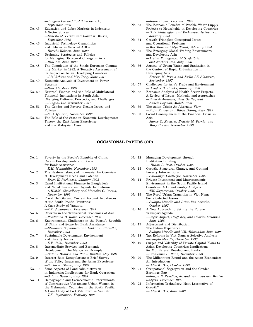|        | — Jungsoo Lee and Yoshihiro Iwasaki,           |
|--------|------------------------------------------------|
|        | September 1989                                 |
| No. 45 | Education and Labor Markets in Indonesia:      |
|        | A Sector Survey                                |
|        | -Ernesto M. Pernia and David N. Wilson,        |
|        | September 1989                                 |
| No. 46 | Industrial Technology Capabilities             |
|        | and Policies in Selected ADCs                  |
|        | —Hiroshi Kakazu, June 1990                     |
| No. 47 | Designing Strategies and Policies              |
|        | for Managing Structural Change in Asia         |
|        | -Ifzal Ali, June 1990                          |
| No. 48 | The Completion of the Single European Commu-   |
|        | nity Market in 1992: A Tentative Assessment of |
|        | its Impact on Asian Developing Countries       |
|        | -J.P. Verbiest and Min Tang, June 1991         |
| No. 49 | Economic Analysis of Investment in Power       |
|        | Systems                                        |
|        | -Ifzal Ali, June 1991                          |
| No. 50 | External Finance and the Role of Multilateral  |
|        | Financial Institutions in South Asia:          |
|        | Changing Patterns, Prospects, and Challenges   |
|        | -Jungsoo Lee, November 1991                    |
| No. 51 | The Gender and Poverty Nexus: Issues and       |
|        | Policies                                       |
|        | -M.G. Quibria, November 1993                   |
| No. 52 | The Role of the State in Economic Development: |

Theory, the East Asian Experience, and the Malaysian Case

—*Jason Brown, December 1993*

- No. 53 The Economic Benefits of Potable Water Supply Projects to Households in Developing Countries —*Dale Whittington and Venkateswarlu Swarna, January 1994*
- No. 54 Growth Triangles: Conceptual Issues and Operational Problems —*Min Tang and Myo Thant, February 1994*
- No. 55 The Emerging Global Trading Environment and Developing Asia
- —*Arvind Panagariya, M.G. Quibria, and Narhari Rao, July 1996* No. 56 Aspects of Urban Water and Sanitation in
- the Context of Rapid Urbanization in Developing Asia *—Ernesto M. Pernia and Stella LF. Alabastro, September 1997*
- No. 57 Challenges for Asia's Trade and Environment *—Douglas H. Brooks, January 1998*
- No. 58 Economic Analysis of Health Sector Projects-A Review of Issues, Methods, and Approaches *—Ramesh Adhikari, Paul Gertler, and Anneli Lagman, March 1999*
- No. 59 The Asian Crisis: An Alternate View *—Rajiv Kumar and Bibek Debroy, July 1999*
- No. 60 Social Consequences of the Financial Crisis in Asia
	- *—James C. Knowles, Ernesto M. Pernia, and Mary Racelis, November 1999*

#### **OCCASIONAL PAPERS (OP)**

| No. 1  | Poverty in the People's Republic of China:<br>Recent Developments and Scope<br>for Bank Assistance |
|--------|----------------------------------------------------------------------------------------------------|
|        | -K.H. Moinuddin. November 1992                                                                     |
| No. 2  | The Eastern Islands of Indonesia: An Overview                                                      |
|        | of Development Needs and Potential                                                                 |
|        | -Brien K. Parkinson, January 1993                                                                  |
| No. 3  | Rural Institutional Finance in Bangladesh                                                          |
|        | and Nepal: Review and Agenda for Reforms                                                           |
|        | -A.H.M.N. Chowdhury and Marcelia C. Garcia,                                                        |
|        | November 1993                                                                                      |
| No. 4  | Fiscal Deficits and Current Account Imbalances                                                     |
|        | of the South Pacific Countries:                                                                    |
|        | A Case Study of Vanuatu                                                                            |
|        | -T.K. Jayaraman, December 1993                                                                     |
| No. 5  | Reforms in the Transitional Economies of Asia                                                      |
|        | -Pradumna B. Rana, December 1993                                                                   |
| No. 6  | Environmental Challenges in the People's Republic                                                  |
|        | of China and Scope for Bank Assistance                                                             |
|        | -Elisabetta Capannelli and Omkar L. Shrestha,                                                      |
|        | December 1993                                                                                      |
| No. 7  | Sustainable Development Environment                                                                |
|        | and Poverty Nexus                                                                                  |
|        | -K.F. Jalal, December 1993                                                                         |
| No. 8  | Intermediate Services and Economic                                                                 |
|        | Development: The Malaysian Example                                                                 |
|        | -Sutanu Behuria and Rahul Khullar, May 1994                                                        |
| No. 9  | Interest Rate Deregulation: A Brief Survey                                                         |
|        | of the Policy Issues and the Asian Experience                                                      |
|        | -Carlos J. Glower, July 1994                                                                       |
| No. 10 | Some Aspects of Land Administration                                                                |
|        | in Indonesia: Implications for Bank Operations                                                     |
|        | -Sutanu Behuria, July 1994                                                                         |
| No. 11 | Demographic and Socioeconomic Determinants                                                         |
|        | of Contraceptive Use among Urban Women in                                                          |
|        | the Melanesian Countries in the South Pacific:                                                     |
|        | A Case Study of Port Vila Town in Vanuatu                                                          |
|        | -T.K. Jayaraman, February 1995                                                                     |
|        |                                                                                                    |

- No. 12 Managing Development through Institution Building — *Hilton L. Root, October 1995*
- No. 13 Growth, Structural Change, and Optimal Poverty Interventions —*Shiladitya Chatterjee, November 1995*
- No. 14 Private Investment and Macroeconomic Environment in the South Pacific Island Countries: A Cross-Country Analysis —*T.K. Jayaraman, October 1996*
- No. 15 The Rural-Urban Transition in Viet Nam: Some Selected Issues *—Sudipto Mundle and Brian Van Arkadie, October 1997*
- No. 16 A New Approach to Setting the Future Transport Agenda *—Roger Allport, Geoff Key, and Charles Melhuish June 1998*
- No. 17 Adjustment and Distribution: The Indian Experience *—Sudipto Mundle and V.B. Tulasidhar, June 1998*
- No. 18 Tax Reforms in Viet Nam: A Selective Analysis *—Sudipto Mundle, December 1998*
- No. 19 Surges and Volatility of Private Capital Flows to Asian Developing Countries: Implications for Multilateral Development Banks —*Pradumna B. Rana, December 1998*
- No. 20 The Millennium Round and the Asian Economies: An Introduction *—Dilip K. Das, October 1999*
- No. 21 Occupational Segregation and the Gender Earnings Gap *—Joseph E. Zveglich, Jr. and Yana van der Meulen Rodgers, December 1999*
- No. 22 Information Technology: Next Locomotive of Growth? *—Dilip K. Das, June 2000*
- 32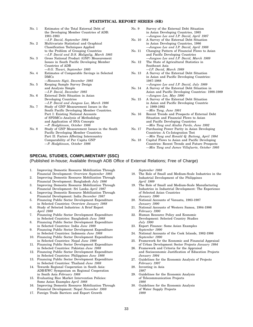#### **STATISTICAL REPORT SERIES (SR)**

| No. 1 | Estimates of the Total External Debt of<br>the Developing Member Countries of ADB:<br>1981-1983 |
|-------|-------------------------------------------------------------------------------------------------|
|       | -I.P. David, September 1984                                                                     |
| No. 2 | Multivariate Statistical and Graphical                                                          |
|       | <b>Classification Techniques Applied</b>                                                        |
|       | to the Problem of Grouping Countries                                                            |
|       | -I.P. David and D.S. Maligalig, March 1985                                                      |
| No. 3 | Gross National Product (GNP) Measurement                                                        |
|       | Issues in South Pacific Developing Member                                                       |
|       | Countries of ADB                                                                                |
|       | -S.G. Tiwari, September 1985                                                                    |
| No. 4 | Estimates of Comparable Savings in Selected                                                     |
|       | <b>DMCs</b>                                                                                     |
|       | -Hananto Sigit, December 1985                                                                   |
| No. 5 | Keeping Sample Survey Design                                                                    |
|       | and Analysis Simple                                                                             |
|       | -I.P. David. December 1985                                                                      |
| No. 6 | External Debt Situation in Asian                                                                |
|       | Developing Countries                                                                            |
|       | -I.P. David and Jungsoo Lee, March 1986                                                         |
| No. 7 | Study of GNP Measurement Issues in the                                                          |
|       | South Pacific Developing Member Countries.                                                      |
|       | Part I: Existing National Accounts                                                              |
|       | of SPDMCs-Analysis of Methodology                                                               |
|       | and Application of SNA Concepts                                                                 |
|       | -P. Hodgkinson, October 1986                                                                    |
| No. 8 | Study of GNP Measurement Issues in the South                                                    |
|       | Pacific Developing Member Countries.                                                            |
|       | Part II: Factors Affecting Intercountry                                                         |
|       | Comparability of Per Capita GNP                                                                 |
|       | -P. Hodgkinson, October 1986                                                                    |
|       |                                                                                                 |

#### **SPECIAL STUDIES, COMPLIMENTARY (SSC)**

(Published in-house; Available through ADB Office of External Relations; Free of Charge)

- 1. Improving Domestic Resource Mobilization Through Financial Development: Overview *September 1985*
- 2. Improving Domestic Resource Mobilization Through Financial Development: Bangladesh *July 1986*
- 3. Improving Domestic Resource Mobilization Through Financial Development: Sri Lanka *April 1987*
- 4. Improving Domestic Resource Mobilization Through Financial Development: India *December 1987*
- 5. Financing Public Sector Development Expenditure in Selected Countries: Overview *January 1988*
- 6. Study of Selected Industries: A Brief Report *April 1988*
- 7. Financing Public Sector Development Expenditure in Selected Countries: Bangladesh *June 1988*
- 8. Financing Public Sector Development Expenditure in Selected Countries: India *June 1988*
- 9. Financing Public Sector Development Expenditure in Selected Countries: Indonesia *June 1988*
- 10. Financing Public Sector Development Expenditure in Selected Countries: Nepal *June 1988*
- 11. Financing Public Sector Development Expenditure in Selected Countries: Pakistan *June 1988*
- 12. Financing Public Sector Development Expenditure in Selected Countries: Philippines *June 1988*
- 13. Financing Public Sector Development Expenditure in Selected Countries: Thailand *June 1988*
- 14. Towards Regional Cooperation in South Asia: ADB/EWC Symposium on Regional Cooperation in South Asia *February 1988*
- 15. Evaluating Rice Market Intervention Policies: Some Asian Examples *April 1988*
- 16. Improving Domestic Resource Mobilization Through Financial Development: Nepal *November 1988*
- 17. Foreign Trade Barriers and Export Growth

*September 1988*

- 18. The Role of Small and Medium-Scale Industries in the Industrial Development of the Philippines *April 1989*
- 19. The Role of Small and Medium-Scale Manufacturing Industries in Industrial Development: The Experience of Selected Asian Countries *January 1990*
- 20. National Accounts of Vanuatu, 1983-1987 *January 1990*

No. 9 Survey of the External Debt Situation in Asian Developing Countries, 1985 —*Jungsoo Lee and I.P. David, April 1987*

No. 10 A Survey of the External Debt Situation in Asian Developing Countries, 1986 —*Jungsoo Lee and I.P. David, April 1988* No. 11 Changing Pattern of Financial Flows to Asian and Pacific Developing Countries

No. 12 The State of Agricultural Statistics in

—*I.P. David, March 1989* No. 13 A Survey of the External Debt Situation

—*Jungsoo Lee, May 1990* No. 15 A Survey of the External Debt Situation

—*Min Tang, June 1991*

Southeast Asia

1987-1988

s: 1989-1992

—*Jungsoo Lee and I.P. David, March 1989*

in Asian and Pacific Developing Countries:

—*Jungsoo Lee and I.P. David, July 1989* No. 14 A Survey of the External Debt Situation in

in Asian and Pacific Developing Countrie

No. 16 Recent Trends and Prospects of External Debt Situation and Financial Flows to Asian and Pacific Developing Countries —*Min Tang and Aludia Pardo, June 1992* No. 17 Purchasing Power Parity in Asian Developing Countries: A Co-Integration Test

No. 18 Capital Flows to Asian and Pacific Developing

Asian and Pacific Developing Countries: 1988-1989

*—Min Tang and Ronald Q. Butiong, April 1994*

Countries: Recent Trends and Future Prospects —*Min Tang and James Villafuerte, October 1995*

- 21. National Accounts of Western Samoa, 1984-1986 *February 1990*
- 22. Human Resource Policy and Economic Development: Selected Country Studies *July 1990*
- 23. Export Finance: Some Asian Examples *September 1990*
- 24. National Accounts of the Cook Islands, 1982-1986 *September 1990*
- 25. Framework for the Economic and Financial Appraisal of Urban Development Sector Projects *January 1994*
- 26. Framework and Criteria for the Appraisal and Socioeconomic Justification of Education Projects *January 1994*
- 27. Guidelines for the Economic Analysis of Projects *February 1997*
- 28. Investing in Asia *1997*
- 29. Guidelines for the Economic Analysis of Telecommunication Projects *1998*
- 30. Guidelines for the Economic Analysis of Water Supply Projects *1999*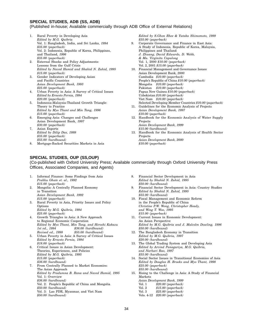#### **SPECIAL STUDIES, ADB (SS, ADB)**

#### (Published in-house; Available commercially through ADB Office of External Relations)

- 1. Rural Poverty in Developing Asia *Edited by M.G. Quibria* Vol. 1: Bangladesh, India, and Sri Lanka, *1994 \$35.00 (paperback)* Vol. 2: Indonesia, Republic of Korea, Philippines, and Thailand, *1996 \$35.00 (paperback)*
- 2. External Shocks and Policy Adjustments: Lessons from the Gulf Crisis *Edited by Naved Hamid and Shahid N. Zahid, 1995 \$15.00 (paperback)*
- 3. Gender Indicators of Developing Asian and Pacific Countries *Asian Development Bank, 1993 \$25.00 (paperback)*
- 4. Urban Poverty in Asia: A Survey of Critical Issues *Edited by Ernesto Pernia, 1994 \$20.00 (paperback)*
- 5. Indonesia-Malaysia-Thailand Growth Triangle: Theory to Practice *Edited by Myo Thant and Min Tang, 1996 \$15.00 (paperback)*
- 6. Emerging Asia: Changes and Challenges Asian Development Bank, *1997 \$30.00 (paperback)*
- 7. Asian Exports *Edited by Dilip Das, 1999 \$35.00 (paperback) \$55.00 (hardbound)*
- 8. Mortgage-Backed Securities Markets in Asia

#### **SPECIAL STUDIES, OUP (SS,OUP)**

(Co-published with Oxford University Press; Available commercially through Oxford University Press Offices, Associated Companies, and Agents)

- 1. Informal Finance: Some Findings from Asia *Prabhu Ghate et. al., 1992 \$15.00 (paperback)*
- 2. Mongolia: A Centrally Planned Economy in Transition *Asian Development Bank, 1992 \$15.00 (paperback)*
- 3. Rural Poverty in Asia, Priority Issues and Policy Options *Edited by M.G. Quibria, 1994 \$25.00 (paperback)*
- 4. Growth Triangles in Asia: A New Approach to Regional Economic Cooperation *Edited by Myo Thant, Min Tang, and Hiroshi Kakazu 1st ed., 1994 \$36.00 (hardbound) Revised ed., 1998 \$55.00 (hardbound)*
- 5. Urban Poverty in Asia: A Survey of Critical Issues *Edited by Ernesto Pernia, 1994 \$18.00 (paperback)*
- 6. Critical Issues in Asian Development: Theories, Experiences, and Policies *Edited by M.G. Quibria, 1995 \$15.00 (paperback) \$36.00 (hardbound)*
- 7. From Centrally Planned to Market Economies: The Asian Approach *Edited by Pradumna B. Rana and Naved Hamid, 1995* Vol. 1: Overview *\$36.00 (hardbound)* Vol. 2: People's Republic of China and Mongolia
	- *\$50.00 (hardbound)*
	- Vol. 3: Lao PDR, Myanmar, and Viet Nam
	- *\$50.00 (hardbound)*

8. Financial Sector Development in Asia *Edited by Shahid N. Zahid, 1995 \$50.00 (hardbound)*

*\$10.00 (paperback)*

- 9. Financial Sector Development in Asia: Country Studies *Edited by Shahid N. Zahid, 1995 \$55.00 (hardbound)*
- 10. Fiscal Management and Economic Reform in the People's Republic of China *Christine P.W. Wong, Christopher Heady, and Wing T. Woo, 1995 \$15.00 (paperback)*
- 11. Current Issues in Economic Development: An Asian Perspective *Edited by M.G. Quibria and J. Malcolm Dowling, 1996 \$50.00 (hardbound)*
- 12. The Bangladesh Economy in Transition *Edited by M.G. Quibria, 1997 \$20.00 (hardbound)*
- 13. The Global Trading System and Developing Asia *Edited by Arvind Panagariya, M.G. Quibria, and Narhari Rao, 1997 \$55.00 (hardbound)*
- 14. Social Sector Issues in Transitional Economies of Asia *Edited by Douglas H. Brooks and Myo Thant, 1998 \$25.00 (paperback) \$55.00 (hardbound)*
- 15. Rising to the Challenge in Asia: A Study of Financial Markets
	- *Asian Development Bank, 1999*
	- Vol. 1 *\$20.00 (paperback)*
	- Vol. 2 *\$15.00 (paperback)*
	- Vol. 3 *\$25.00 (paperback)*
	- Vols. 4-12 *\$20.00 (paperback)*

*Edited by S.Ghon Rhee & Yutaka Shimomoto, 1999 \$35.00 (paperback)*

- 9. Corporate Governance and Finance in East Asia: A Study of Indonesia, Republic of Korea, Malaysia, Philippines and Thailand *J. Zhuang, David Edwards, D. Webb, & Ma. Virginita Capulong* Vol. 1, 2000 *\$10.00 (paperback)* Vol. 2, 2001 *\$15.00 (paperback)*
- 10. Financial Management and Governance Issues Asian Development Bank, *2000* Cambodia *\$10.00 (paperback)* People's Republic of China *\$10.00 (paperback)* Mongolia *\$10.00 (paperback)* Pakistan *\$10.00 (paperback)* Papua New Guinea *\$10.00 (paperback)* Uzbekistan *\$10.00 (paperback)* Viet Nam *\$10.00 (paperback)* Selected Developing Member Countries *\$10.00 (paperback)*
- 11. Guidelines for the Economic Analysis of Projects *Asian Development Bank, 1997 \$10.00 (paperback)*
- 12. Handbook for the Economic Analysis of Water Supply **Projects** *Asian Development Bank, 1999 \$15.00 (hardbound)*
- 13. Handbook for the Economic Analysis of Health Sector Projects *Asian Development Bank, 2000*